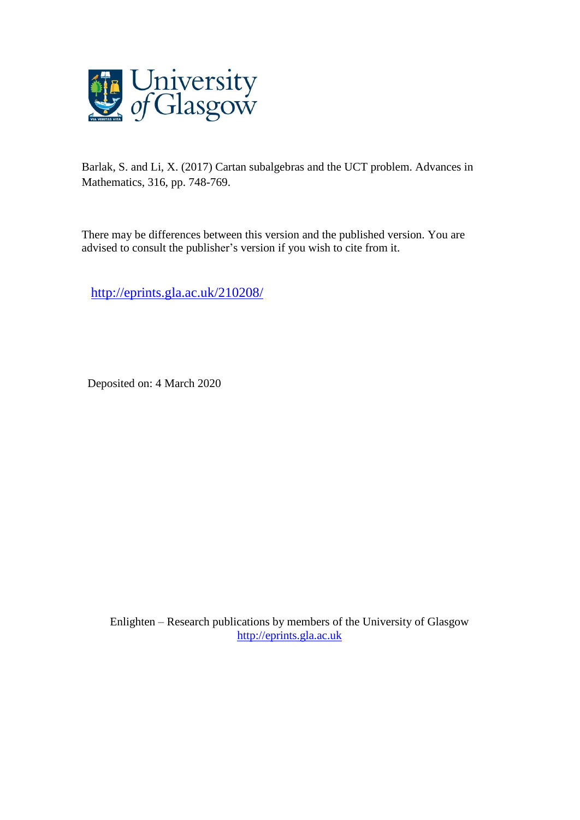

Barlak, S. and Li, X. (2017) Cartan subalgebras and the UCT problem. Advances in Mathematics, 316, pp. 748-769.

There may be differences between this version and the published version. You are advised to consult the publisher's version if you wish to cite from it.

<http://eprints.gla.ac.uk/210208/>

Deposited on: 4 March 2020

Enlighten – Research publications by members of the University of Glasgow [http://eprints.gla.ac.uk](http://eprints.gla.ac.uk/)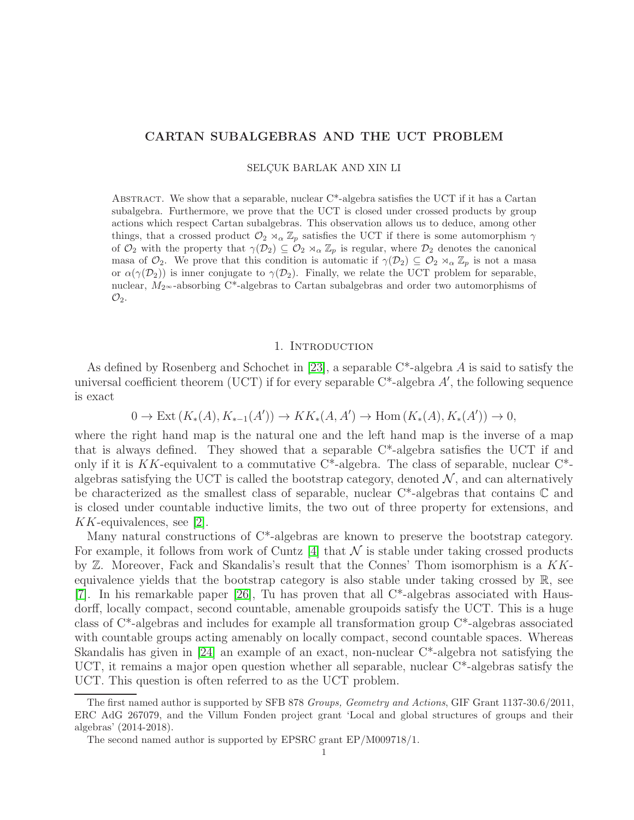## CARTAN SUBALGEBRAS AND THE UCT PROBLEM

SELCUK BARLAK AND XIN LI

ABSTRACT. We show that a separable, nuclear  $C^*$ -algebra satisfies the UCT if it has a Cartan subalgebra. Furthermore, we prove that the UCT is closed under crossed products by group actions which respect Cartan subalgebras. This observation allows us to deduce, among other things, that a crossed product  $\mathcal{O}_2 \rtimes_\alpha \mathbb{Z}_p$  satisfies the UCT if there is some automorphism  $\gamma$ of  $\mathcal{O}_2$  with the property that  $\gamma(\mathcal{D}_2) \subseteq \mathcal{O}_2 \rtimes_\alpha \mathbb{Z}_p$  is regular, where  $\mathcal{D}_2$  denotes the canonical masa of  $\mathcal{O}_2$ . We prove that this condition is automatic if  $\gamma(\mathcal{D}_2) \subseteq \mathcal{O}_2 \rtimes_{\alpha} \mathbb{Z}_p$  is not a masa or  $\alpha(\gamma(\mathcal{D}_2))$  is inner conjugate to  $\gamma(\mathcal{D}_2)$ . Finally, we relate the UCT problem for separable, nuclear,  $M_2 \sim$ -absorbing C<sup>\*</sup>-algebras to Cartan subalgebras and order two automorphisms of  $\mathcal{O}_2$ .

### 1. Introduction

As defined by Rosenberg and Schochet in [\[23\]](#page-17-0), a separable  $C^*$ -algebra A is said to satisfy the universal coefficient theorem (UCT) if for every separable  $C^*$ -algebra  $A'$ , the following sequence is exact

$$
0 \to \text{Ext}(K_*(A), K_{*-1}(A')) \to KK_*(A, A') \to \text{Hom}(K_*(A), K_*(A')) \to 0,
$$

where the right hand map is the natural one and the left hand map is the inverse of a map that is always defined. They showed that a separable  $C^*$ -algebra satisfies the UCT if and only if it is  $KK$ -equivalent to a commutative C<sup>\*</sup>-algebra. The class of separable, nuclear C<sup>\*</sup>algebras satisfying the UCT is called the bootstrap category, denoted  $\mathcal{N}$ , and can alternatively be characterized as the smallest class of separable, nuclear C\*-algebras that contains C and is closed under countable inductive limits, the two out of three property for extensions, and KK-equivalences, see [\[2\]](#page-17-1).

Many natural constructions of  $C^*$ -algebras are known to preserve the bootstrap category. For example, it follows from work of Cuntz  $[4]$  that N is stable under taking crossed products by  $\mathbb Z$ . Moreover, Fack and Skandalis's result that the Connes' Thom isomorphism is a  $KK$ equivalence yields that the bootstrap category is also stable under taking crossed by R, see [\[7\]](#page-17-3). In his remarkable paper [\[26\]](#page-17-4), Tu has proven that all C\*-algebras associated with Hausdorff, locally compact, second countable, amenable groupoids satisfy the UCT. This is a huge class of C\*-algebras and includes for example all transformation group C\*-algebras associated with countable groups acting amenably on locally compact, second countable spaces. Whereas Skandalis has given in [\[24\]](#page-17-5) an example of an exact, non-nuclear C\*-algebra not satisfying the UCT, it remains a major open question whether all separable, nuclear  $C^*$ -algebras satisfy the UCT. This question is often referred to as the UCT problem.

The first named author is supported by SFB 878 Groups, Geometry and Actions, GIF Grant 1137-30.6/2011, ERC AdG 267079, and the Villum Fonden project grant 'Local and global structures of groups and their algebras' (2014-2018).

The second named author is supported by EPSRC grant EP/M009718/1.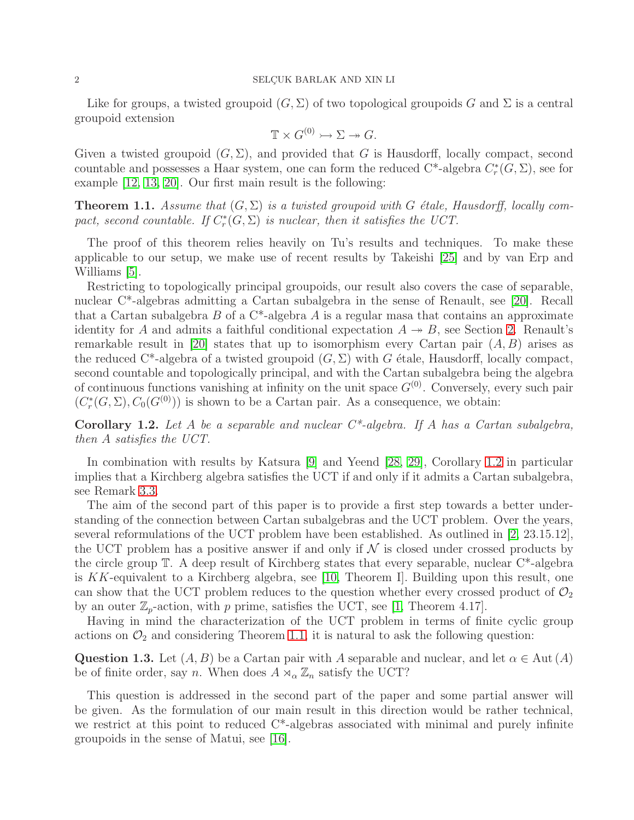Like for groups, a twisted groupoid  $(G, \Sigma)$  of two topological groupoids G and  $\Sigma$  is a central groupoid extension

$$
\mathbb{T} \times G^{(0)} \rightarrowtail \Sigma \twoheadrightarrow G.
$$

Given a twisted groupoid  $(G, \Sigma)$ , and provided that G is Hausdorff, locally compact, second countable and possesses a Haar system, one can form the reduced  $C^*$ -algebra  $C^*_r$  $_{r}^{\ast}(G,\Sigma),$  see for example [\[12,](#page-17-6) [13,](#page-17-7) [20\]](#page-17-8). Our first main result is the following:

<span id="page-2-1"></span>**Theorem 1.1.** Assume that  $(G, \Sigma)$  is a twisted groupoid with G étale, Hausdorff, locally compact, second countable. If  $C_r^*$  $r_r^*(G, \Sigma)$  is nuclear, then it satisfies the UCT.

The proof of this theorem relies heavily on Tu's results and techniques. To make these applicable to our setup, we make use of recent results by Takeishi [\[25\]](#page-17-9) and by van Erp and Williams [\[5\]](#page-17-10).

Restricting to topologically principal groupoids, our result also covers the case of separable, nuclear C\*-algebras admitting a Cartan subalgebra in the sense of Renault, see [\[20\]](#page-17-8). Recall that a Cartan subalgebra  $B$  of a C<sup>\*</sup>-algebra  $A$  is a regular masa that contains an approximate identity for A and admits a faithful conditional expectation  $A \rightarrow B$ , see Section [2.](#page-4-0) Renault's remarkable result in [\[20\]](#page-17-8) states that up to isomorphism every Cartan pair  $(A, B)$  arises as the reduced C<sup>\*</sup>-algebra of a twisted groupoid  $(G, \Sigma)$  with G étale, Hausdorff, locally compact, second countable and topologically principal, and with the Cartan subalgebra being the algebra of continuous functions vanishing at infinity on the unit space  $G^{(0)}$ . Conversely, every such pair  $(C_r^*$  $r_r^*(G, \Sigma), C_0(G^{(0)}))$  is shown to be a Cartan pair. As a consequence, we obtain:

<span id="page-2-0"></span>**Corollary 1.2.** Let A be a separable and nuclear  $C^*$ -algebra. If A has a Cartan subalgebra, then A satisfies the UCT.

In combination with results by Katsura [\[9\]](#page-17-11) and Yeend [\[28,](#page-18-0) [29\]](#page-18-1), Corollary [1.2](#page-2-0) in particular implies that a Kirchberg algebra satisfies the UCT if and only if it admits a Cartan subalgebra, see Remark [3.3.](#page-7-0)

The aim of the second part of this paper is to provide a first step towards a better understanding of the connection between Cartan subalgebras and the UCT problem. Over the years, several reformulations of the UCT problem have been established. As outlined in [\[2,](#page-17-1) 23.15.12], the UCT problem has a positive answer if and only if  $\mathcal N$  is closed under crossed products by the circle group T. A deep result of Kirchberg states that every separable, nuclear C\*-algebra is KK-equivalent to a Kirchberg algebra, see [\[10,](#page-17-12) Theorem I]. Building upon this result, one can show that the UCT problem reduces to the question whether every crossed product of  $\mathcal{O}_2$ by an outer  $\mathbb{Z}_p$ -action, with p prime, satisfies the UCT, see [\[1,](#page-17-13) Theorem 4.17].

Having in mind the characterization of the UCT problem in terms of finite cyclic group actions on  $\mathcal{O}_2$  and considering Theorem [1.1,](#page-2-1) it is natural to ask the following question:

Question 1.3. Let  $(A, B)$  be a Cartan pair with A separable and nuclear, and let  $\alpha \in \text{Aut}(A)$ be of finite order, say n. When does  $A \rtimes_{\alpha} \mathbb{Z}_n$  satisfy the UCT?

This question is addressed in the second part of the paper and some partial answer will be given. As the formulation of our main result in this direction would be rather technical, we restrict at this point to reduced C\*-algebras associated with minimal and purely infinite groupoids in the sense of Matui, see [\[16\]](#page-17-14).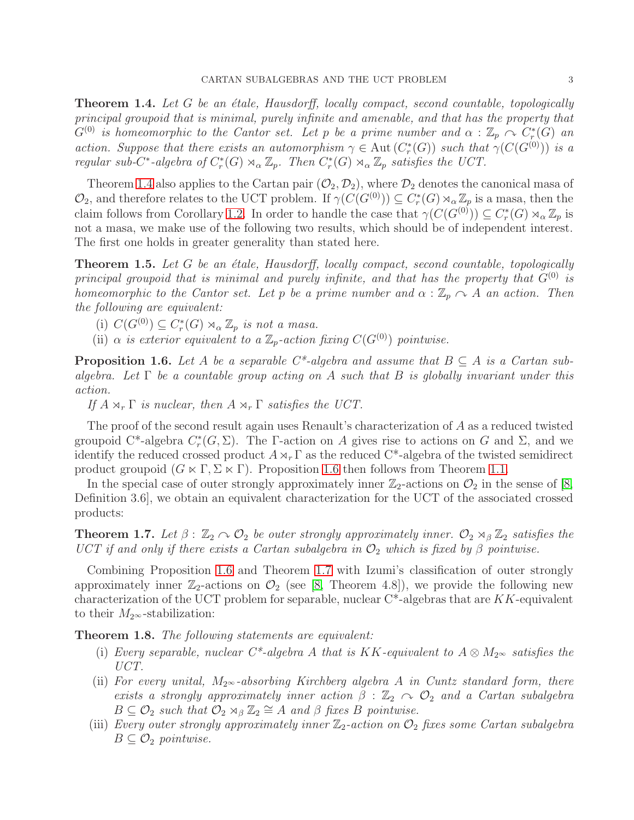<span id="page-3-0"></span>**Theorem 1.4.** Let G be an étale, Hausdorff, locally compact, second countable, topologically principal groupoid that is minimal, purely infinite and amenable, and that has the property that  $G^{(0)}$  is homeomorphic to the Cantor set. Let p be a prime number and  $\alpha$  :  $\mathbb{Z}_p \curvearrowright C_r^*$  $_{r}^{\ast}(G)$  an action. Suppose that there exists an automorphism  $\gamma \in \text{Aut}(C_r^*)$  $r_r^*(G)$ ) such that  $\gamma(C(G^{(0)}))$  is a regular sub-C<sup>\*</sup>-algebra of  $C_r^*$  $\mathcal{C}_r^*(G) \rtimes_\alpha \mathbb{Z}_p$ . Then  $C_r^*$  $C_r^*(G) \rtimes_\alpha \mathbb{Z}_p$  satisfies the UCT.

Theorem [1.4](#page-3-0) also applies to the Cartan pair  $(\mathcal{O}_2, \mathcal{D}_2)$ , where  $\mathcal{D}_2$  denotes the canonical masa of  $\mathcal{O}_2$ , and therefore relates to the UCT problem. If  $\gamma(C(G^{(0)})) \subseteq C_r^*$  $r_r^*(G) \rtimes_\alpha \mathbb{Z}_p$  is a masa, then the claim follows from Corollary [1.2.](#page-2-0) In order to handle the case that  $\gamma(C(G^{(0)})) \subseteq C_r^*$  $\chi^*_r(G) \rtimes_\alpha \mathbb{Z}_p$  is not a masa, we make use of the following two results, which should be of independent interest. The first one holds in greater generality than stated here.

<span id="page-3-3"></span>Theorem 1.5. Let G be an étale, Hausdorff, locally compact, second countable, topologically principal groupoid that is minimal and purely infinite, and that has the property that  $G^{(0)}$  is homeomorphic to the Cantor set. Let p be a prime number and  $\alpha : \mathbb{Z}_p \cap A$  an action. Then the following are equivalent:

(i)  $C(G^{(0)}) \subseteq C_r^*$  $C_r^*(G) \rtimes_{\alpha} \mathbb{Z}_p$  is not a masa.

(ii)  $\alpha$  is exterior equivalent to a  $\mathbb{Z}_p$ -action fixing  $C(G^{(0)})$  pointwise.

<span id="page-3-1"></span>**Proposition 1.6.** Let A be a separable C<sup>\*</sup>-algebra and assume that  $B \subseteq A$  is a Cartan subalgebra. Let  $\Gamma$  be a countable group acting on A such that B is globally invariant under this action.

If  $A \rtimes_r \Gamma$  is nuclear, then  $A \rtimes_r \Gamma$  satisfies the UCT.

The proof of the second result again uses Renault's characterization of A as a reduced twisted groupoid C<sup>\*</sup>-algebra  $C_r^*$ <sup>\*</sup>(G,  $\Sigma$ ). The Γ-action on A gives rise to actions on G and  $\Sigma$ , and we identify the reduced crossed product  $A\rtimes_r \Gamma$  as the reduced C<sup>\*</sup>-algebra of the twisted semidirect product groupoid  $(G \ltimes \Gamma, \Sigma \ltimes \Gamma)$ . Proposition [1.6](#page-3-1) then follows from Theorem [1.1.](#page-2-1)

In the special case of outer strongly approximately inner  $\mathbb{Z}_2$ -actions on  $\mathcal{O}_2$  in the sense of [\[8,](#page-17-15) Definition 3.6], we obtain an equivalent characterization for the UCT of the associated crossed products:

<span id="page-3-2"></span>**Theorem 1.7.** Let  $\beta$ :  $\mathbb{Z}_2 \cap \mathcal{O}_2$  be outer strongly approximately inner.  $\mathcal{O}_2 \rtimes_{\beta} \mathbb{Z}_2$  satisfies the UCT if and only if there exists a Cartan subalgebra in  $\mathcal{O}_2$  which is fixed by  $\beta$  pointwise.

Combining Proposition [1.6](#page-3-1) and Theorem [1.7](#page-3-2) with Izumi's classification of outer strongly approximately inner  $\mathbb{Z}_2$ -actions on  $\mathcal{O}_2$  (see [\[8,](#page-17-15) Theorem 4.8]), we provide the following new characterization of the UCT problem for separable, nuclear  $C^*$ -algebras that are KK-equivalent to their  $M_{2^{\infty}}$ -stabilization:

<span id="page-3-4"></span>Theorem 1.8. The following statements are equivalent:

- (i) Every separable, nuclear  $C^*$ -algebra A that is KK-equivalent to  $A \otimes M_{2^{\infty}}$  satisfies the UCT.
- (ii) For every unital,  $M_{2^{\infty}}$ -absorbing Kirchberg algebra A in Cuntz standard form, there exists a strongly approximately inner action  $\beta : \mathbb{Z}_2 \curvearrowright \mathcal{O}_2$  and a Cartan subalgebra  $B \subseteq \mathcal{O}_2$  such that  $\mathcal{O}_2 \rtimes_{\beta} \mathbb{Z}_2 \cong A$  and  $\beta$  fixes  $B$  pointwise.
- (iii) Every outer strongly approximately inner  $\mathbb{Z}_2$ -action on  $\mathcal{O}_2$  fixes some Cartan subalgebra  $B \subseteq \mathcal{O}_2$  pointwise.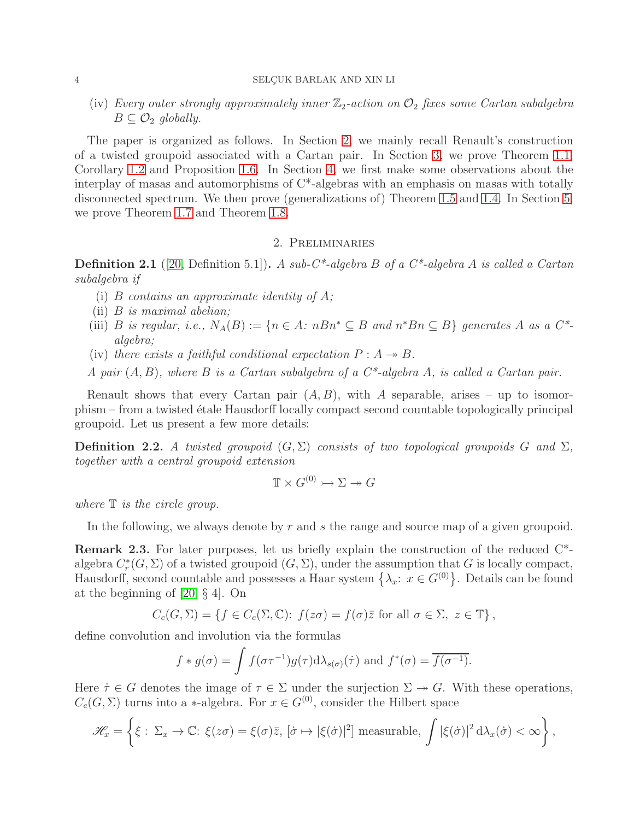(iv) Every outer strongly approximately inner  $\mathbb{Z}_2$ -action on  $\mathcal{O}_2$  fixes some Cartan subalgebra  $B \subseteq \mathcal{O}_2$  globally.

The paper is organized as follows. In Section [2,](#page-4-0) we mainly recall Renault's construction of a twisted groupoid associated with a Cartan pair. In Section [3,](#page-6-0) we prove Theorem [1.1,](#page-2-1) Corollary [1.2](#page-2-0) and Proposition [1.6.](#page-3-1) In Section [4,](#page-9-0) we first make some observations about the interplay of masas and automorphisms of C\*-algebras with an emphasis on masas with totally disconnected spectrum. We then prove (generalizations of) Theorem [1.5](#page-3-3) and [1.4.](#page-3-0) In Section [5,](#page-13-0) we prove Theorem [1.7](#page-3-2) and Theorem [1.8.](#page-3-4)

#### 2. Preliminaries

<span id="page-4-0"></span>**Definition 2.1** ([\[20,](#page-17-8) Definition 5.1]). A sub-C\*-algebra B of a C\*-algebra A is called a Cartan subalgebra if

- (i) B contains an approximate identity of  $A$ ;
- (ii) B is maximal abelian;
- (iii) B is regular, i.e.,  $N_A(B) := \{n \in A: nBn^* \subseteq B \text{ and } n^*Bn \subseteq B\}$  generates A as a  $C^*$ algebra;
- (iv) there exists a faithful conditional expectation  $P : A \rightarrow B$ .

A pair  $(A, B)$ , where B is a Cartan subalgebra of a  $C^*$ -algebra A, is called a Cartan pair.

Renault shows that every Cartan pair  $(A, B)$ , with A separable, arises – up to isomorphism – from a twisted étale Hausdorff locally compact second countable topologically principal groupoid. Let us present a few more details:

**Definition 2.2.** A twisted groupoid  $(G, \Sigma)$  consists of two topological groupoids G and  $\Sigma$ , together with a central groupoid extension

$$
\mathbb{T} \times G^{(0)} \rightarrowtail \Sigma \rightarrowtail G
$$

where  $\mathbb T$  is the circle group.

In the following, we always denote by r and s the range and source map of a given groupoid.

Remark 2.3. For later purposes, let us briefly explain the construction of the reduced C\* algebra  $C_r^*$  $r_r^*(G, \Sigma)$  of a twisted groupoid  $(G, \Sigma)$ , under the assumption that G is locally compact, Hausdorff, second countable and possesses a Haar system  $\{\lambda_x: x \in G^{(0)}\}$ . Details can be found at the beginning of [\[20,](#page-17-8) § 4]. On

$$
C_c(G,\Sigma) = \{ f \in C_c(\Sigma,\mathbb{C}) : f(z\sigma) = f(\sigma)\overline{z} \text{ for all } \sigma \in \Sigma, z \in \mathbb{T} \},
$$

define convolution and involution via the formulas

$$
f * g(\sigma) = \int f(\sigma \tau^{-1}) g(\tau) d\lambda_{s(\sigma)}(\dot{\tau})
$$
 and  $f^*(\sigma) = \overline{f(\sigma^{-1})}$ .

Here  $\tau \in G$  denotes the image of  $\tau \in \Sigma$  under the surjection  $\Sigma \to G$ . With these operations,  $C_c(G,\Sigma)$  turns into a \*-algebra. For  $x \in G^{(0)}$ , consider the Hilbert space

$$
\mathscr{H}_x = \left\{ \xi : \Sigma_x \to \mathbb{C} : \xi(z\sigma) = \xi(\sigma)\bar{z}, \, [\dot{\sigma} \mapsto |\xi(\dot{\sigma})|^2] \text{ measurable}, \, \int |\xi(\dot{\sigma})|^2 \, d\lambda_x(\dot{\sigma}) < \infty \right\},
$$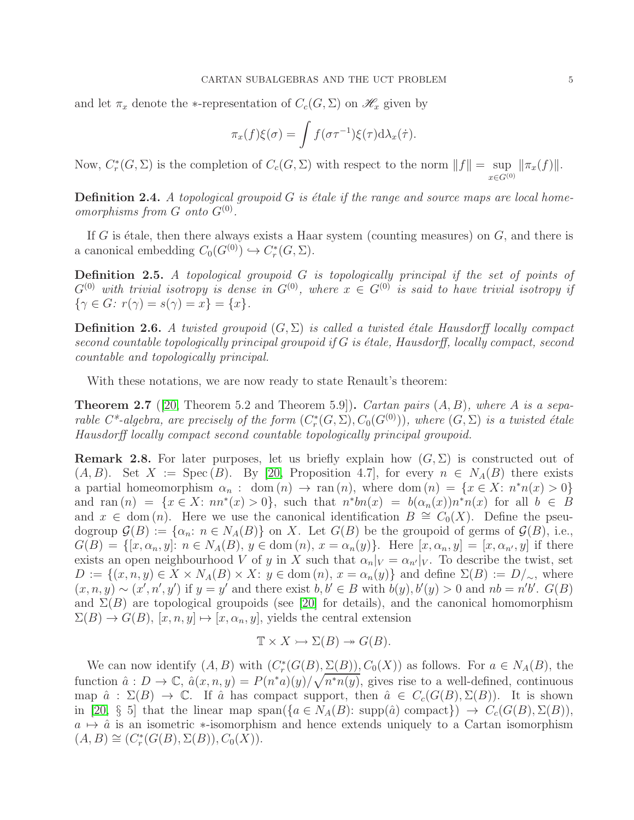and let  $\pi_x$  denote the ∗-representation of  $C_c(G, \Sigma)$  on  $\mathscr{H}_x$  given by

$$
\pi_x(f)\xi(\sigma) = \int f(\sigma\tau^{-1})\xi(\tau) d\lambda_x(\dot{\tau}).
$$

Now,  $C_r^*$  $r_r^*(G, \Sigma)$  is the completion of  $C_c(G, \Sigma)$  with respect to the norm  $||f|| = \sup$  $x \in G^{(0)}$  $\|\pi_x(f)\|.$ 

**Definition 2.4.** A topological groupoid  $G$  is étale if the range and source maps are local homeomorphisms from  $G$  onto  $G^{(0)}$ .

If G is étale, then there always exists a Haar system (counting measures) on  $G$ , and there is a canonical embedding  $C_0(G^{(0)}) \hookrightarrow C_r^*$  $_{r}^{\ast}(G,\Sigma).$ 

Definition 2.5. A topological groupoid G is topologically principal if the set of points of  $G^{(0)}$  with trivial isotropy is dense in  $G^{(0)}$ , where  $x \in G^{(0)}$  is said to have trivial isotropy if  $\{\gamma \in G: r(\gamma) = s(\gamma) = x\} = \{x\}.$ 

**Definition 2.6.** A twisted groupoid  $(G, \Sigma)$  is called a twisted étale Hausdorff locally compact second countable topologically principal groupoid if  $G$  is étale, Hausdorff, locally compact, second countable and topologically principal.

With these notations, we are now ready to state Renault's theorem:

<span id="page-5-0"></span>**Theorem 2.7** ([\[20,](#page-17-8) Theorem 5.2 and Theorem 5.9]). Cartan pairs  $(A, B)$ , where A is a separable  $C^*$ -algebra, are precisely of the form  $(C^*_r)$  $\mathcal{C}_r^*(G,\Sigma), C_0(G^{(0)}))$ , where  $(G,\Sigma)$  is a twisted étale Hausdorff locally compact second countable topologically principal groupoid.

<span id="page-5-1"></span>**Remark 2.8.** For later purposes, let us briefly explain how  $(G, \Sigma)$  is constructed out of  $(A, B)$ . Set  $X := \text{Spec}(B)$ . By [\[20,](#page-17-8) Proposition 4.7], for every  $n \in N<sub>A</sub>(B)$  there exists a partial homeomorphism  $\alpha_n$ : dom  $(n) \to \text{ran}(n)$ , where dom  $(n) = \{x \in X : n^*n(x) > 0\}$ and ran  $(n) = \{x \in X: nn^*(x) > 0\}$ , such that  $n^*bn(x) = b(\alpha_n(x))n^*n(x)$  for all  $b \in B$ and  $x \in \text{dom}(n)$ . Here we use the canonical identification  $B \cong C_0(X)$ . Define the pseudogroup  $\mathcal{G}(B) := {\alpha_n : n \in N_A(B)}$  on X. Let  $G(B)$  be the groupoid of germs of  $\mathcal{G}(B)$ , i.e.,  $G(B) = \{ [x, \alpha_n, y] : n \in N_A(B), y \in \text{dom}(n), x = \alpha_n(y) \}.$  Here  $[x, \alpha_n, y] = [x, \alpha_{n'}, y]$  if there exists an open neighbourhood V of y in X such that  $\alpha_n|_V = \alpha_{n'}|_V$ . To describe the twist, set  $D := \{(x, n, y) \in X \times N_A(B) \times X: y \in \text{dom}(n), x = \alpha_n(y)\}\$ and define  $\Sigma(B) := D/\sim$ , where  $(x, n, y) \sim (x', n', y')$  if  $y = y'$  and there exist  $b, b' \in B$  with  $b(y), b'(y) > 0$  and  $nb = n'b'$ .  $G(B)$ and  $\Sigma(B)$  are topological groupoids (see [\[20\]](#page-17-8) for details), and the canonical homomorphism  $\Sigma(B) \to G(B), [x, n, y] \mapsto [x, \alpha_n, y]$ , yields the central extension

$$
\mathbb{T} \times X \rightarrowtail \Sigma(B) \twoheadrightarrow G(B).
$$

We can now identify  $(A, B)$  with  $(C_r^*)$  $r_r^*(G(B), \underline{\Sigma(B)})$ ,  $C_0(X)$  as follows. For  $a \in N_A(B)$ , the function  $\hat{a}: D \to \mathbb{C}, \hat{a}(x,n,y) = P(n^*a)(y)/\sqrt{n^*n(y)},$  gives rise to a well-defined, continuous map  $\hat{a}$  :  $\Sigma(B) \to \mathbb{C}$ . If  $\hat{a}$  has compact support, then  $\hat{a} \in C_c(G(B), \Sigma(B))$ . It is shown in [\[20,](#page-17-8) § 5] that the linear map span $({a \in N_A(B): \text{supp}(\hat{a}) \text{ compact}}) \rightarrow C_c(G(B), \Sigma(B)),$  $a \mapsto \hat{a}$  is an isometric  $\ast$ -isomorphism and hence extends uniquely to a Cartan isomorphism  $(A, B) \cong (C_r^*$  $C^*_r(G(B), \Sigma(B)), C_0(X)).$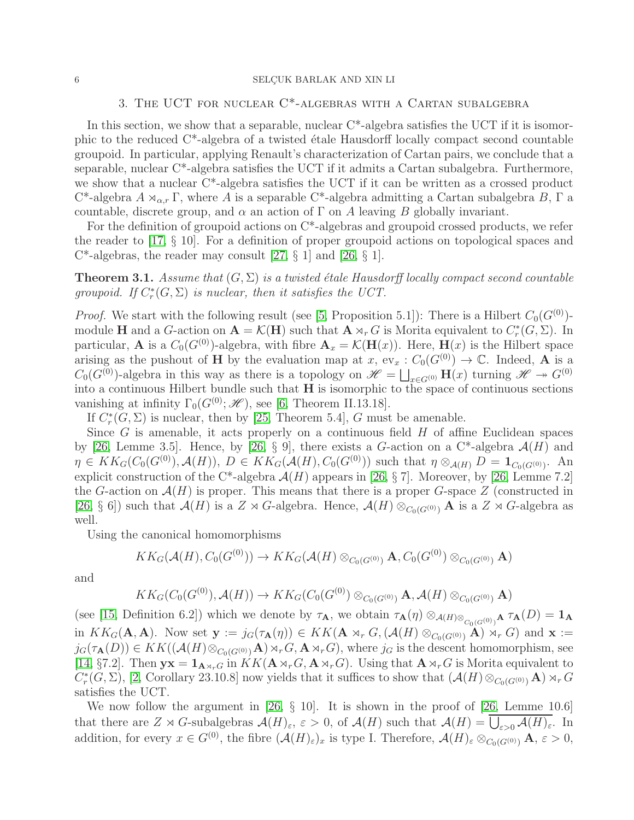# 3. The UCT for nuclear C\*-algebras with a Cartan subalgebra

<span id="page-6-0"></span>In this section, we show that a separable, nuclear  $C^*$ -algebra satisfies the UCT if it is isomorphic to the reduced  $C^*$ -algebra of a twisted étale Hausdorff locally compact second countable groupoid. In particular, applying Renault's characterization of Cartan pairs, we conclude that a separable, nuclear C\*-algebra satisfies the UCT if it admits a Cartan subalgebra. Furthermore, we show that a nuclear C\*-algebra satisfies the UCT if it can be written as a crossed product C<sup>\*</sup>-algebra  $A \rtimes_{\alpha,r} \Gamma$ , where A is a separable C<sup>\*</sup>-algebra admitting a Cartan subalgebra B,  $\Gamma$  a countable, discrete group, and  $\alpha$  an action of  $\Gamma$  on A leaving B globally invariant.

For the definition of groupoid actions on C\*-algebras and groupoid crossed products, we refer the reader to [\[17,](#page-17-16) § 10]. For a definition of proper groupoid actions on topological spaces and  $C^*$ -algebras, the reader may consult [\[27,](#page-17-17) § 1] and [\[26,](#page-17-4) § 1].

<span id="page-6-1"></span>**Theorem 3.1.** Assume that  $(G, \Sigma)$  is a twisted étale Hausdorff locally compact second countable groupoid. If  $C_r^*$  $r_r^*(G, \Sigma)$  is nuclear, then it satisfies the UCT.

*Proof.* We start with the following result (see [\[5,](#page-17-10) Proposition 5.1]): There is a Hilbert  $C_0(G^{(0)})$ module **H** and a G-action on  $A = \mathcal{K}(H)$  such that  $A \rtimes_r G$  is Morita equivalent to  $C_r^*$  $_{r}^{\ast}(G,\Sigma).$  In particular, **A** is a  $C_0(G^{(0)})$ -algebra, with fibre  $\mathbf{A}_x = \mathcal{K}(\mathbf{H}(x))$ . Here,  $\mathbf{H}(x)$  is the Hilbert space arising as the pushout of H by the evaluation map at x,  $ev_x : C_0(G^{(0)}) \to \mathbb{C}$ . Indeed, A is a  $C_0(G^{(0)})$ -algebra in this way as there is a topology on  $\mathscr{H} = \bigsqcup_{x \in G^{(0)}} \mathbf{H}(x)$  turning  $\mathscr{H} \to G^{(0)}$ into a continuous Hilbert bundle such that H is isomorphic to the space of continuous sections vanishing at infinity  $\Gamma_0(G^{(0)}; \mathcal{H})$ , see [\[6,](#page-17-18) Theorem II.13.18].

If  $C_r^*$  $r^*(G, \Sigma)$  is nuclear, then by [\[25,](#page-17-9) Theorem 5.4], G must be amenable.

Since  $G$  is amenable, it acts properly on a continuous field  $H$  of affine Euclidean spaces by [\[26,](#page-17-4) Lemme 3.5]. Hence, by [26, § 9], there exists a G-action on a C<sup>\*</sup>-algebra  $\mathcal{A}(H)$  and  $\eta \in KK_G(C_0(G^{(0)}), \mathcal{A}(H)), D \in KK_G(\mathcal{A}(H), C_0(G^{(0)}))$  such that  $\eta \otimes_{\mathcal{A}(H)} D = \mathbf{1}_{C_0(G^{(0)})}$ . An explicit construction of the C<sup>\*</sup>-algebra  $\mathcal{A}(H)$  appears in [\[26,](#page-17-4) § 7]. Moreover, by [26, Lemme 7.2] the G-action on  $\mathcal{A}(H)$  is proper. This means that there is a proper G-space Z (constructed in [\[26,](#page-17-4) § 6]) such that  $\mathcal{A}(H)$  is a  $Z \rtimes G$ -algebra. Hence,  $\mathcal{A}(H) \otimes_{C_0(G^{(0)})} \mathbf{A}$  is a  $Z \rtimes G$ -algebra as well.

Using the canonical homomorphisms

$$
KK_G(\mathcal{A}(H), C_0(G^{(0)})) \to KK_G(\mathcal{A}(H) \otimes_{C_0(G^{(0)})} \mathbf{A}, C_0(G^{(0)}) \otimes_{C_0(G^{(0)})} \mathbf{A})
$$

and

$$
KK_G(C_0(G^{(0)}), \mathcal{A}(H)) \to KK_G(C_0(G^{(0)}) \otimes_{C_0(G^{(0)})} \mathbf{A}, \mathcal{A}(H) \otimes_{C_0(G^{(0)})} \mathbf{A})
$$

(see [\[15,](#page-17-19) Definition 6.2]) which we denote by  $\tau_A$ , we obtain  $\tau_A(\eta) \otimes_{\mathcal{A}(H) \otimes_{C_0(G^{(0)})}} A \tau_A(D) = 1_A$ in  $KK_G(\mathbf{A}, \mathbf{A})$ . Now set  $\mathbf{y} := j_G(\tau_\mathbf{A}(\eta)) \in KK(\mathbf{A} \rtimes_r G, (\mathcal{A}(H) \otimes_{C_0(G^{(0)})} A) \rtimes_r G)$  and  $\mathbf{x} :=$  $j_G(\tau_{\mathbf{A}}(D)) \in KK((\mathcal{A}(H) \otimes_{C_0(G^{(0)})} \mathbf{A}) \rtimes_r G, \mathbf{A} \rtimes_r G)$ , where  $j_G$  is the descent homomorphism, see [\[14,](#page-17-20) §7.2]. Then  $yx = 1_{A\rtimes_r G}$  in  $KK(A\rtimes_r G, A\rtimes_r G)$ . Using that  $A\rtimes_r G$  is Morita equivalent to  $C_r^*$ <sup>\*</sup>(G,  $\Sigma$ ), [\[2,](#page-17-1) Corollary 23.10.8] now yields that it suffices to show that  $(\mathcal{A}(H) \otimes_{C_0(G^{(0)})} \mathbf{A}) \rtimes_r G$ satisfies the UCT.

We now follow the argument in [\[26,](#page-17-4)  $\S$  10]. It is shown in the proof of [26, Lemme 10.6] that there are  $Z \rtimes G$ -subalgebras  $\mathcal{A}(H)_{\varepsilon}$ ,  $\varepsilon > 0$ , of  $\mathcal{A}(H)$  such that  $\mathcal{A}(H) = \overline{\bigcup_{\varepsilon > 0} \mathcal{A}(H)_{\varepsilon}}$ . In addition, for every  $x \in G^{(0)}$ , the fibre  $(\mathcal{A}(H)_{\varepsilon})_x$  is type I. Therefore,  $\mathcal{A}(H)_{\varepsilon} \otimes_{C_0(G^{(0)})} \mathbf{A}, \varepsilon > 0$ ,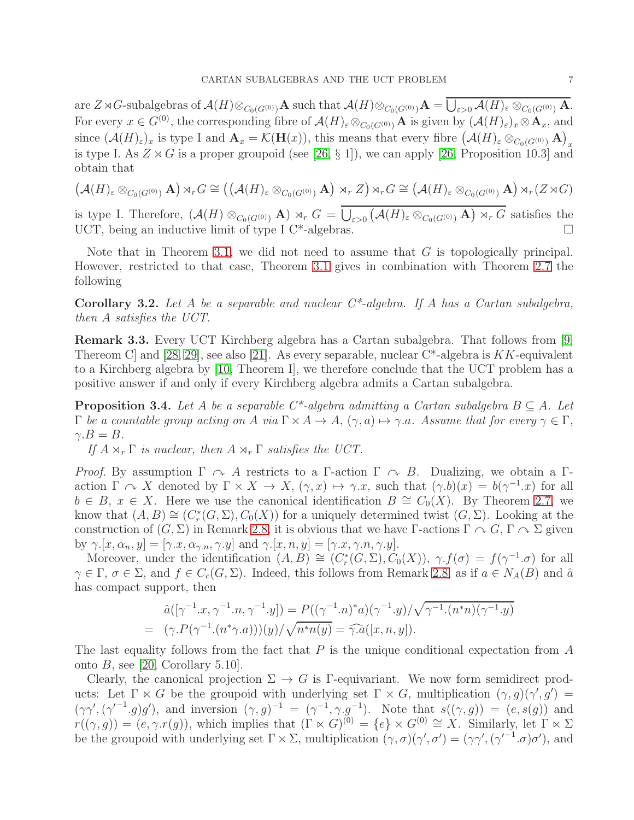are  $Z \rtimes G$ -subalgebras of  $\mathcal{A}(H) \otimes_{C_0(G^{(0)})} \mathbf{A}$  such that  $\mathcal{A}(H) \otimes_{C_0(G^{(0)})} \mathbf{A} = \overline{\bigcup_{\varepsilon > 0} \mathcal{A}(H)_{\varepsilon} \otimes_{C_0(G^{(0)})} \mathbf{A}}$ . For every  $x \in G^{(0)}$ , the corresponding fibre of  $\mathcal{A}(H)_{\varepsilon} \otimes_{C_0(G^{(0)})} \mathbf{A}$  is given by  $(\mathcal{A}(H)_{\varepsilon})_x \otimes \mathbf{A}_x$ , and since  $(\mathcal{A}(H)_{\varepsilon})_x$  is type I and  $\mathbf{A}_x = \mathcal{K}(\mathbf{H}(x))$ , this means that every fibre  $(\mathcal{A}(H)_{\varepsilon} \otimes_{C_0(G^{(0)})} \mathbf{A})_x$ is type I. As  $Z \rtimes G$  is a proper groupoid (see [\[26,](#page-17-4) § 1]), we can apply [26, Proposition 10.3] and obtain that

$$
\left(\mathcal{A}(H)_{\varepsilon} \otimes_{C_0(G^{(0)})} \mathbf{A}\right) \rtimes_r G \cong \left(\left(\mathcal{A}(H)_{\varepsilon} \otimes_{C_0(G^{(0)})} \mathbf{A}\right) \rtimes_r Z\right) \rtimes_r G \cong \left(\mathcal{A}(H)_{\varepsilon} \otimes_{C_0(G^{(0)})} \mathbf{A}\right) \rtimes_r (Z \rtimes G)
$$

is type I. Therefore,  $(\mathcal{A}(H) \otimes_{C_0(G^{(0)})} \mathbf{A}) \rtimes_r G = \overline{\bigcup_{\varepsilon > 0} (\mathcal{A}(H)_{\varepsilon} \otimes_{C_0(G^{(0)})} \mathbf{A}) \rtimes_r G}$  satisfies the UCT, being an inductive limit of type I C<sup>\*</sup>-algebras.  $\square$ 

Note that in Theorem [3.1,](#page-6-1) we did not need to assume that  $G$  is topologically principal. However, restricted to that case, Theorem [3.1](#page-6-1) gives in combination with Theorem [2.7](#page-5-0) the following

**Corollary 3.2.** Let A be a separable and nuclear  $C^*$ -algebra. If A has a Cartan subalgebra, then A satisfies the UCT.

<span id="page-7-0"></span>Remark 3.3. Every UCT Kirchberg algebra has a Cartan subalgebra. That follows from [\[9,](#page-17-11) Thereom C and  $[28, 29]$  $[28, 29]$ , see also  $[21]$ . As every separable, nuclear C<sup>\*</sup>-algebra is KK-equivalent to a Kirchberg algebra by [\[10,](#page-17-12) Theorem I], we therefore conclude that the UCT problem has a positive answer if and only if every Kirchberg algebra admits a Cartan subalgebra.

<span id="page-7-1"></span>**Proposition 3.4.** Let A be a separable  $C^*$ -algebra admitting a Cartan subalgebra  $B \subseteq A$ . Let  $\Gamma$  be a countable group acting on A via  $\Gamma \times A \to A$ ,  $(\gamma, a) \mapsto \gamma.a$ . Assume that for every  $\gamma \in \Gamma$ ,  $\gamma.B = B.$ 

If  $A \rtimes_r \Gamma$  is nuclear, then  $A \rtimes_r \Gamma$  satisfies the UCT.

*Proof.* By assumption  $\Gamma \curvearrowright A$  restricts to a  $\Gamma$ -action  $\Gamma \curvearrowright B$ . Dualizing, we obtain a  $\Gamma$ action  $\Gamma \cap X$  denoted by  $\Gamma \times X \to X$ ,  $(\gamma, x) \mapsto \gamma.x$ , such that  $(\gamma.b)(x) = b(\gamma^{-1}.x)$  for all  $b \in B$ ,  $x \in X$ . Here we use the canonical identification  $B \cong C_0(X)$ . By Theorem [2.7,](#page-5-0) we know that  $(A, B) \cong (C_r^*$  $r^*(G, \Sigma), C_0(X)$  for a uniquely determined twist  $(G, \Sigma)$ . Looking at the construction of  $(G, \Sigma)$  in Remark [2.8,](#page-5-1) it is obvious that we have Γ-actions  $\Gamma \curvearrowright G$ ,  $\Gamma \curvearrowright \Sigma$  given by  $\gamma$ .[x,  $\alpha_n, y$ ] = [ $\gamma$ .x,  $\alpha_{\gamma,n}$ ,  $\gamma$ .y] and  $\gamma$ .[x, n, y] = [ $\gamma$ .x,  $\gamma$ .n,  $\gamma$ .y].

Moreover, under the identification  $(A, B) \cong (C_r^*$  $f_r^*(G, \Sigma), C_0(X)$ ,  $\gamma.f(\sigma) = f(\gamma^{-1}.\sigma)$  for all  $\gamma \in \Gamma$ ,  $\sigma \in \Sigma$ , and  $f \in C_c(G, \Sigma)$ . Indeed, this follows from Remark [2.8,](#page-5-1) as if  $a \in N_A(B)$  and  $\hat{a}$ has compact support, then

$$
\hat{a}([\gamma^{-1}.x, \gamma^{-1}.n, \gamma^{-1}.y]) = P((\gamma^{-1}.n)^*a)(\gamma^{-1}.y)/\sqrt{\gamma^{-1}.(n^*n)(\gamma^{-1}.y)}
$$
  
= 
$$
(\gamma.P(\gamma^{-1}.(n^*\gamma.a)))(y)/\sqrt{n^*n(y)} = \widehat{\gamma.a}([x, n, y]).
$$

The last equality follows from the fact that  $P$  is the unique conditional expectation from  $A$ onto  $B$ , see [\[20,](#page-17-8) Corollary 5.10].

Clearly, the canonical projection  $\Sigma \to G$  is Γ-equivariant. We now form semidirect products: Let  $\Gamma \ltimes G$  be the groupoid with underlying set  $\Gamma \times G$ , multiplication  $(\gamma, g)(\gamma', g') =$  $(\gamma\gamma',(\gamma'^{-1}.g)g')$ , and inversion  $(\gamma,g)^{-1} = (\gamma^{-1},\gamma,g^{-1})$ . Note that  $s((\gamma,g)) = (e,s(g))$  and  $r((\gamma, g)) = (e, \gamma \cdot r(g))$ , which implies that  $(\Gamma \ltimes G)^{(0)} = \{e\} \times G^{(0)} \cong X$ . Similarly, let  $\Gamma \ltimes \Sigma$ be the groupoid with underlying set  $\Gamma \times \Sigma$ , multiplication  $(\gamma, \sigma)(\gamma', \sigma') = (\gamma \gamma', (\gamma'^{-1} \sigma) \sigma')$ , and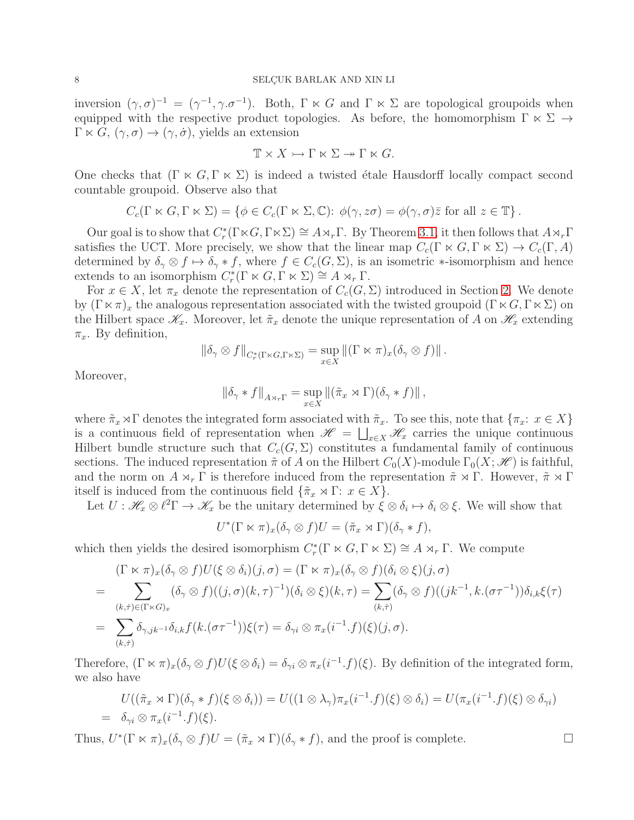inversion  $(\gamma, \sigma)^{-1} = (\gamma^{-1}, \gamma. \sigma^{-1})$ . Both,  $\Gamma \ltimes G$  and  $\Gamma \ltimes \Sigma$  are topological groupoids when equipped with the respective product topologies. As before, the homomorphism  $\Gamma \ltimes \Sigma \rightarrow$  $\Gamma \ltimes G$ ,  $(\gamma, \sigma) \to (\gamma, \dot{\sigma})$ , yields an extension

$$
\mathbb{T} \times X \rightarrowtail \Gamma \ltimes \Sigma \rightarrowtail \Gamma \ltimes G.
$$

One checks that  $(\Gamma \ltimes G, \Gamma \ltimes \Sigma)$  is indeed a twisted étale Hausdorff locally compact second countable groupoid. Observe also that

$$
C_c(\Gamma \ltimes G, \Gamma \ltimes \Sigma) = \{ \phi \in C_c(\Gamma \ltimes \Sigma, \mathbb{C}) : \phi(\gamma, z\sigma) = \phi(\gamma, \sigma)\overline{z} \text{ for all } z \in \mathbb{T} \}.
$$

Our goal is to show that  $C_r^*$  $f_r^*(\Gamma \ltimes G, \Gamma \ltimes \Sigma) \cong A \rtimes_r \Gamma$ . By Theorem [3.1,](#page-6-1) it then follows that  $A \rtimes_r \Gamma$ satisfies the UCT. More precisely, we show that the linear map  $C_c(\Gamma \ltimes G, \Gamma \ltimes \Sigma) \to C_c(\Gamma, A)$ determined by  $\delta_{\gamma} \otimes f \mapsto \delta_{\gamma} * f$ , where  $f \in C_c(G, \Sigma)$ , is an isometric  $*$ -isomorphism and hence extends to an isomorphism  $C_r^*$  $r_r^*(\Gamma \ltimes G, \Gamma \ltimes \Sigma) \cong A \rtimes_r \Gamma.$ 

For  $x \in X$ , let  $\pi_x$  denote the representation of  $C_c(G, \Sigma)$  introduced in Section [2.](#page-4-0) We denote by  $(\Gamma \ltimes \pi)_x$  the analogous representation associated with the twisted groupoid  $(\Gamma \ltimes G, \Gamma \ltimes \Sigma)$  on the Hilbert space  $\mathscr{K}_x$ . Moreover, let  $\tilde{\pi}_x$  denote the unique representation of A on  $\mathscr{H}_x$  extending  $\pi_x$ . By definition,

$$
\|\delta_{\gamma}\otimes f\|_{C^*_{r}(\Gamma\ltimes G,\Gamma\ltimes \Sigma)}=\sup_{x\in X}\|(\Gamma\ltimes \pi)_x(\delta_{\gamma}\otimes f)\|.
$$

Moreover,

$$
\|\delta_{\gamma}*f\|_{A\rtimes_{r}\Gamma}=\sup_{x\in X}\|(\tilde{\pi}_x\rtimes\Gamma)(\delta_{\gamma}*f)\|,
$$

where  $\tilde{\pi}_x \rtimes \Gamma$  denotes the integrated form associated with  $\tilde{\pi}_x$ . To see this, note that  $\{\pi_x: x \in X\}$ is a continuous field of representation when  $\mathscr{H} = \bigsqcup_{x \in X} \mathscr{H}_x$  carries the unique continuous Hilbert bundle structure such that  $C_c(G, \Sigma)$  constitutes a fundamental family of continuous sections. The induced representation  $\tilde{\pi}$  of A on the Hilbert  $C_0(X)$ -module  $\Gamma_0(X; \mathcal{H})$  is faithful, and the norm on  $A \rtimes_r \Gamma$  is therefore induced from the representation  $\tilde{\pi} \rtimes \Gamma$ . However,  $\tilde{\pi} \rtimes \Gamma$ itself is induced from the continuous field  $\{\tilde{\pi}_x \rtimes \Gamma : x \in X\}.$ 

Let  $U: \mathcal{H}_x \otimes \ell^2\Gamma \to \mathcal{K}_x$  be the unitary determined by  $\xi \otimes \delta_i \mapsto \delta_i \otimes \xi$ . We will show that

$$
U^*(\Gamma \ltimes \pi)_x(\delta_\gamma \otimes f)U = (\tilde{\pi}_x \rtimes \Gamma)(\delta_\gamma * f),
$$

which then yields the desired isomorphism  $C_r^*$  $r_r^*(\Gamma \ltimes G, \Gamma \ltimes \Sigma) \cong A \rtimes_r \Gamma$ . We compute

$$
(\Gamma \ltimes \pi)_x(\delta_\gamma \otimes f)U(\xi \otimes \delta_i)(j,\sigma) = (\Gamma \ltimes \pi)_x(\delta_\gamma \otimes f)(\delta_i \otimes \xi)(j,\sigma)
$$
  
= 
$$
\sum_{(k,\tau) \in (\Gamma \ltimes G)_x} (\delta_\gamma \otimes f)((j,\sigma)(k,\tau)^{-1})(\delta_i \otimes \xi)(k,\tau) = \sum_{(k,\tau)} (\delta_\gamma \otimes f)((jk^{-1},k.(\sigma\tau^{-1}))\delta_{i,k}\xi(\tau))
$$
  
= 
$$
\sum_{(k,\tau)} \delta_{\gamma,jk^{-1}}\delta_{i,k}f(k.(\sigma\tau^{-1}))\xi(\tau) = \delta_{\gamma i} \otimes \pi_x(i^{-1}.f)(\xi)(j,\sigma).
$$

Therefore,  $(\Gamma \ltimes \pi)_x(\delta_\gamma \otimes f)U(\xi \otimes \delta_i) = \delta_{\gamma i} \otimes \pi_x(i^{-1}.f)(\xi)$ . By definition of the integrated form, we also have

$$
U((\tilde{\pi}_x \rtimes \Gamma)(\delta_\gamma * f)(\xi \otimes \delta_i)) = U((1 \otimes \lambda_\gamma)\pi_x(i^{-1}.f)(\xi) \otimes \delta_i) = U(\pi_x(i^{-1}.f)(\xi) \otimes \delta_{\gamma i})
$$
  
=  $\delta_{\gamma i} \otimes \pi_x(i^{-1}.f)(\xi)$ .

Thus,  $U^*(\Gamma \ltimes \pi)_x(\delta_\gamma \otimes f)U = (\tilde{\pi}_x \rtimes \Gamma)(\delta_\gamma * f)$ , and the proof is complete.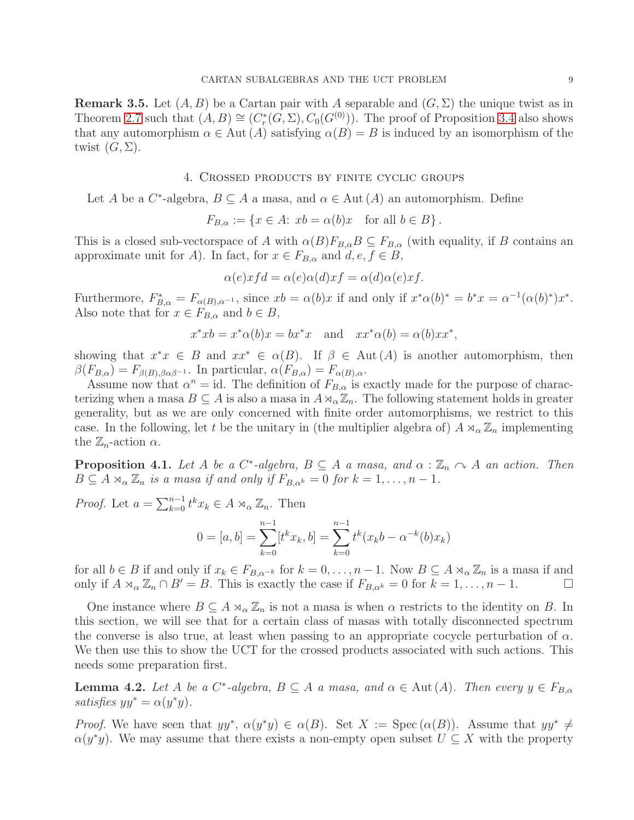**Remark 3.5.** Let  $(A, B)$  be a Cartan pair with A separable and  $(G, \Sigma)$  the unique twist as in Theorem [2.7](#page-5-0) such that  $(A, B) \cong (C_r^*$  $\mathcal{C}_r^*(G,\Sigma), C_0(G^{(0)}))$ . The proof of Proposition [3.4](#page-7-1) also shows that any automorphism  $\alpha \in Aut(A)$  satisfying  $\alpha(B) = B$  is induced by an isomorphism of the twist  $(G, \Sigma)$ .

#### 4. Crossed products by finite cyclic groups

<span id="page-9-0"></span>Let A be a  $C^*$ -algebra,  $B \subseteq A$  a masa, and  $\alpha \in \text{Aut}(A)$  an automorphism. Define

$$
F_{B,\alpha} := \{ x \in A : xb = \alpha(b)x \text{ for all } b \in B \}.
$$

This is a closed sub-vectorspace of A with  $\alpha(B)F_{B,\alpha}B \subseteq F_{B,\alpha}$  (with equality, if B contains an approximate unit for A). In fact, for  $x \in F_{B,\alpha}$  and  $d, e, f \in B$ ,

$$
\alpha(e) x f d = \alpha(e) \alpha(d) x f = \alpha(d) \alpha(e) x f.
$$

Furthermore,  $F_{B,\alpha}^* = F_{\alpha(B),\alpha^{-1}}$ , since  $xb = \alpha(b)x$  if and only if  $x^*\alpha(b)^* = b^*x = \alpha^{-1}(\alpha(b)^*)x^*$ . Also note that for  $x \in F_{B,\alpha}$  and  $b \in B$ ,

$$
x^*xb = x^*\alpha(b)x = bx^*x
$$
 and  $xx^*\alpha(b) = \alpha(b)xx^*$ ,

showing that  $x^*x \in B$  and  $xx^* \in \alpha(B)$ . If  $\beta \in \text{Aut}(A)$  is another automorphism, then  $\beta(F_{B,\alpha}) = F_{\beta(B),\beta\alpha\beta^{-1}}$ . In particular,  $\alpha(F_{B,\alpha}) = F_{\alpha(B),\alpha}$ .

Assume now that  $\alpha^n = id$ . The definition of  $F_{B,\alpha}$  is exactly made for the purpose of characterizing when a masa  $B \subseteq A$  is also a masa in  $A \rtimes_{\alpha} \mathbb{Z}_n$ . The following statement holds in greater generality, but as we are only concerned with finite order automorphisms, we restrict to this case. In the following, let t be the unitary in (the multiplier algebra of)  $A \rtimes_{\alpha} \mathbb{Z}_n$  implementing the  $\mathbb{Z}_n$ -action  $\alpha$ .

<span id="page-9-2"></span>**Proposition 4.1.** Let A be a  $C^*$ -algebra,  $B \subseteq A$  a masa, and  $\alpha : \mathbb{Z}_n \cap A$  an action. Then  $B \subseteq A \rtimes_{\alpha} \mathbb{Z}_n$  is a masa if and only if  $F_{B,\alpha^k} = 0$  for  $k = 1, \ldots, n-1$ .

*Proof.* Let  $a = \sum_{k=0}^{n-1} t^k x_k \in A \rtimes_{\alpha} \mathbb{Z}_n$ . Then

$$
0 = [a, b] = \sum_{k=0}^{n-1} [t^k x_k, b] = \sum_{k=0}^{n-1} t^k (x_k b - \alpha^{-k}(b) x_k)
$$

for all  $b \in B$  if and only if  $x_k \in F_{B,\alpha^{-k}}$  for  $k = 0, \ldots, n-1$ . Now  $B \subseteq A \rtimes_\alpha \mathbb{Z}_n$  is a masa if and only if  $A \rtimes_{\alpha} \mathbb{Z}_n \cap B' = B$ . This is exactly the case if  $F_{B,\alpha^k} = 0$  for  $k = 1, \ldots, n-1$ .

One instance where  $B \subseteq A \rtimes_{\alpha} \mathbb{Z}_n$  is not a masa is when  $\alpha$  restricts to the identity on B. In this section, we will see that for a certain class of masas with totally disconnected spectrum the converse is also true, at least when passing to an appropriate cocycle perturbation of  $\alpha$ . We then use this to show the UCT for the crossed products associated with such actions. This needs some preparation first.

<span id="page-9-1"></span>**Lemma 4.2.** Let A be a C<sup>\*</sup>-algebra,  $B \subseteq A$  a masa, and  $\alpha \in \text{Aut}(A)$ . Then every  $y \in F_{B,\alpha}$ satisfies  $yy^* = \alpha(y^*y)$ .

*Proof.* We have seen that  $yy^*, \alpha(y^*y) \in \alpha(B)$ . Set  $X := \text{Spec}(\alpha(B))$ . Assume that  $yy^* \neq$  $\alpha(y^*y)$ . We may assume that there exists a non-empty open subset  $U \subseteq X$  with the property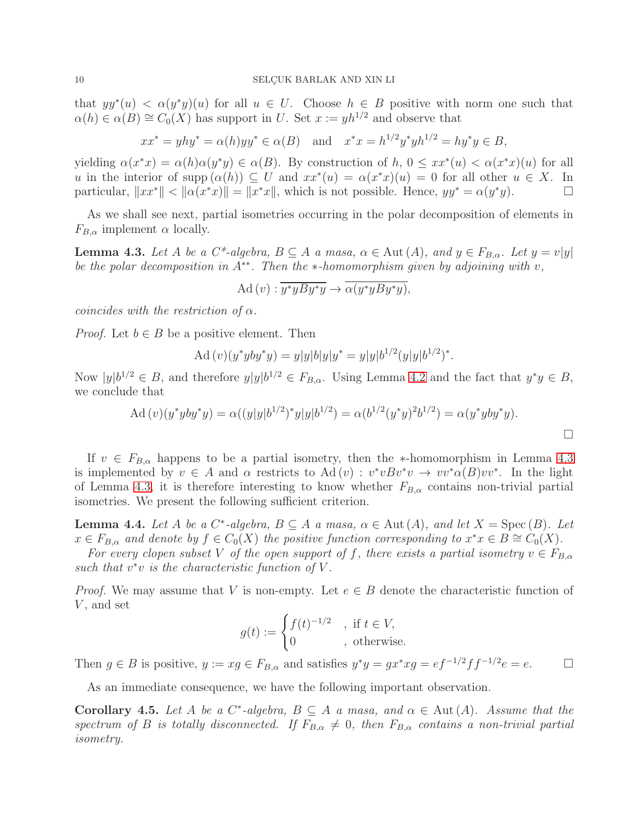that  $yy^*(u) < \alpha(y^*y)(u)$  for all  $u \in U$ . Choose  $h \in B$  positive with norm one such that  $\alpha(h) \in \alpha(B) \cong C_0(X)$  has support in U. Set  $x := yh^{1/2}$  and observe that

$$
xx^* = yhy^* = \alpha(h)yy^* \in \alpha(B)
$$
 and  $x^*x = h^{1/2}y^*yh^{1/2} = hy^*y \in B$ ,

yielding  $\alpha(x^*x) = \alpha(h)\alpha(y^*y) \in \alpha(B)$ . By construction of  $h, 0 \leq xx^*(u) < \alpha(x^*x)(u)$  for all u in the interior of supp  $(\alpha(h)) \subseteq U$  and  $xx^*(u) = \alpha(x^*x)(u) = 0$  for all other  $u \in X$ . In particular,  $||xx^*|| < ||\alpha(x^*x)|| = ||x^*x||$ , which is not possible. Hence,  $yy^* = \alpha(y^*y)$ .

As we shall see next, partial isometries occurring in the polar decomposition of elements in  $F_{B,\alpha}$  implement  $\alpha$  locally.

<span id="page-10-0"></span>**Lemma 4.3.** Let A be a  $C^*$ -algebra,  $B \subseteq A$  a masa,  $\alpha \in \text{Aut}(A)$ , and  $y \in F_{B,\alpha}$ . Let  $y = v|y|$ be the polar decomposition in  $A^{**}$ . Then the  $*$ -homomorphism given by adjoining with v,

$$
\mathrm{Ad}\,(v): \overline{y^*yBy^*y} \to \overline{\alpha(y^*yBy^*y)},
$$

coincides with the restriction of  $\alpha$ .

*Proof.* Let  $b \in B$  be a positive element. Then

$$
Ad(v)(y^*yby^*y) = y|y|b|y|y^* = y|y|b^{1/2}(y|y|b^{1/2})^*.
$$

Now  $|y|b^{1/2} \in B$ , and therefore  $y|y|b^{1/2} \in F_{B,\alpha}$ . Using Lemma [4.2](#page-9-1) and the fact that  $y^*y \in B$ , we conclude that

$$
\text{Ad}(v)(y^* yby^* y) = \alpha((y|y|b^{1/2})^* y|y|b^{1/2}) = \alpha(b^{1/2}(y^* y)^2 b^{1/2}) = \alpha(y^* yby^* y).
$$

If  $v \in F_{B,\alpha}$  happens to be a partial isometry, then the \*-homomorphism in Lemma [4.3](#page-10-0) is implemented by  $v \in A$  and  $\alpha$  restricts to  $\text{Ad}(v) : v^*v B v^*v \to vv^* \alpha(B) vv^*$ . In the light of Lemma [4.3,](#page-10-0) it is therefore interesting to know whether  $F_{B,\alpha}$  contains non-trivial partial isometries. We present the following sufficient criterion.

**Lemma 4.4.** Let A be a  $C^*$ -algebra,  $B \subseteq A$  a masa,  $\alpha \in \text{Aut}(A)$ , and let  $X = \text{Spec}(B)$ . Let  $x \in F_{B,\alpha}$  and denote by  $f \in C_0(X)$  the positive function corresponding to  $x^*x \in B \cong C_0(X)$ .

For every clopen subset V of the open support of f, there exists a partial isometry  $v \in F_{B,\alpha}$ such that  $v^*v$  is the characteristic function of V.

*Proof.* We may assume that V is non-empty. Let  $e \in B$  denote the characteristic function of  $V$ , and set

$$
g(t) := \begin{cases} f(t)^{-1/2} & , \text{ if } t \in V, \\ 0 & , \text{ otherwise.} \end{cases}
$$

Then  $g \in B$  is positive,  $y := xg \in F_{B,\alpha}$  and satisfies  $y^*y = gx^*xg = ef^{-1/2}ff^{-1/2}e = e$ .

As an immediate consequence, we have the following important observation.

<span id="page-10-1"></span>Corollary 4.5. Let A be a  $C^*$ -algebra,  $B \subseteq A$  a masa, and  $\alpha \in Aut(A)$ . Assume that the spectrum of B is totally disconnected. If  $F_{B,\alpha} \neq 0$ , then  $F_{B,\alpha}$  contains a non-trivial partial isometry.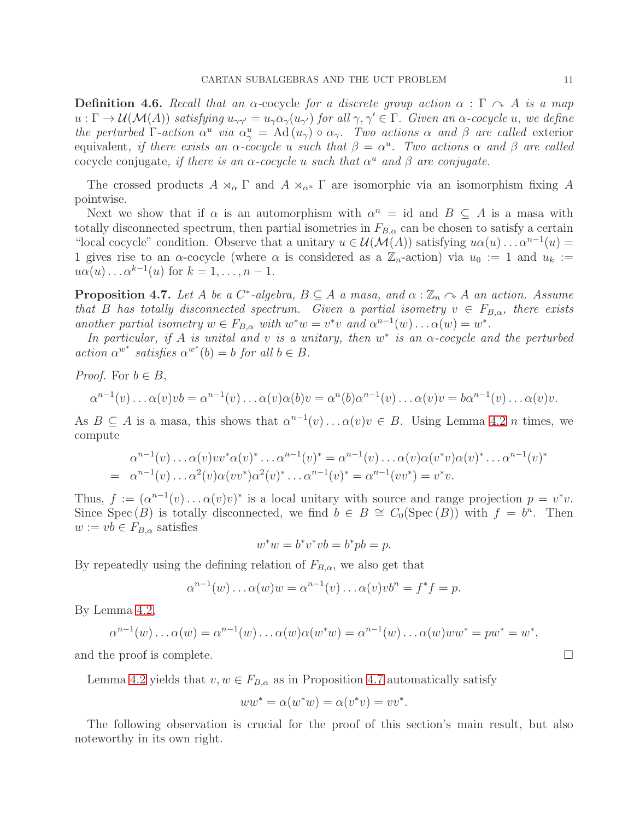**Definition 4.6.** Recall that an  $\alpha$ -cocycle for a discrete group action  $\alpha : \Gamma \cap \Lambda$  is a map  $u: \Gamma \to \mathcal{U}(\mathcal{M}(A))$  satisfying  $u_{\gamma\gamma'} = u_{\gamma}\alpha_{\gamma}(u_{\gamma'})$  for all  $\gamma, \gamma' \in \Gamma$ . Given an  $\alpha$ -cocycle u, we define the perturbed Γ-action  $\alpha^u$  via  $\alpha^u_\gamma = \text{Ad}(u_\gamma) \circ \alpha_\gamma$ . Two actions  $\alpha$  and  $\beta$  are called exterior equivalent, if there exists an  $\alpha$ -cocycle u such that  $\beta = \alpha^u$ . Two actions  $\alpha$  and  $\beta$  are called cocycle conjugate, if there is an  $\alpha$ -cocycle u such that  $\alpha^u$  and  $\beta$  are conjugate.

The crossed products  $A \rtimes_{\alpha} \Gamma$  and  $A \rtimes_{\alpha} \Gamma$  are isomorphic via an isomorphism fixing A pointwise.

Next we show that if  $\alpha$  is an automorphism with  $\alpha^n = id$  and  $B \subseteq A$  is a masa with totally disconnected spectrum, then partial isometries in  $F_{B,\alpha}$  can be chosen to satisfy a certain "local cocycle" condition. Observe that a unitary  $u \in \mathcal{U}(\mathcal{M}(A))$  satisfying  $u\alpha(u) \dots \alpha^{n-1}(u) =$ 1 gives rise to an  $\alpha$ -cocycle (where  $\alpha$  is considered as a  $\mathbb{Z}_n$ -action) via  $u_0 := 1$  and  $u_k :=$  $u\alpha(u)\ldots\alpha^{k-1}(u)$  for  $k=1,\ldots,n-1$ .

<span id="page-11-0"></span>**Proposition 4.7.** Let A be a  $C^*$ -algebra,  $B \subseteq A$  a masa, and  $\alpha : \mathbb{Z}_n \cap A$  an action. Assume that B has totally disconnected spectrum. Given a partial isometry  $v \in F_{B,\alpha}$ , there exists another partial isometry  $w \in F_{B,\alpha}$  with  $w^*w = v^*v$  and  $\alpha^{n-1}(w) \dots \alpha(w) = w^*$ .

In particular, if A is unital and v is a unitary, then  $w^*$  is an  $\alpha$ -cocycle and the perturbed  $action \alpha^{w^*}$  satisfies  $\alpha^{w^*}(b) = b$  for all  $b \in B$ .

*Proof.* For  $b \in B$ ,

$$
\alpha^{n-1}(v)\dots\alpha(v)v\mathbf{b}=\alpha^{n-1}(v)\dots\alpha(v)\alpha(\mathbf{b})v=\alpha^{n}(\mathbf{b})\alpha^{n-1}(v)\dots\alpha(v)v=\mathbf{b}\alpha^{n-1}(v)\dots\alpha(v)v.
$$

As  $B \subseteq A$  is a masa, this shows that  $\alpha^{n-1}(v) \dots \alpha(v)v \in B$ . Using Lemma [4.2](#page-9-1) *n* times, we compute

$$
\alpha^{n-1}(v) \dots \alpha(v) v v^* \alpha(v)^* \dots \alpha^{n-1}(v)^* = \alpha^{n-1}(v) \dots \alpha(v) \alpha(v^* v) \alpha(v)^* \dots \alpha^{n-1}(v)^*
$$
  
=  $\alpha^{n-1}(v) \dots \alpha^2(v) \alpha(vv^*) \alpha^2(v)^* \dots \alpha^{n-1}(v)^* = \alpha^{n-1}(vv^*) = v^* v.$ 

Thus,  $f := (\alpha^{n-1}(v) \dots \alpha(v)v)^*$  is a local unitary with source and range projection  $p = v^*v$ . Since  $Spec(B)$  is totally disconnected, we find  $b \in B \cong C_0(Spec(B))$  with  $f = b^n$ . Then  $w := vb \in F_{B,\alpha}$  satisfies

$$
w^*w = b^*v^*vb = b^*pb = p.
$$

By repeatedly using the defining relation of  $F_{B,\alpha}$ , we also get that

$$
\alpha^{n-1}(w)\dots\alpha(w)w = \alpha^{n-1}(v)\dots\alpha(v)v b^n = f^*f = p.
$$

By Lemma [4.2,](#page-9-1)

$$
\alpha^{n-1}(w)\dots\alpha(w)=\alpha^{n-1}(w)\dots\alpha(w)\alpha(w^*w)=\alpha^{n-1}(w)\dots\alpha(w)ww^*=pw^*=w^*,
$$

and the proof is complete.  $\Box$ 

Lemma [4.2](#page-9-1) yields that  $v, w \in F_{B,\alpha}$  as in Proposition [4.7](#page-11-0) automatically satisfy

$$
ww^* = \alpha(w^*w) = \alpha(v^*v) = vv^*.
$$

The following observation is crucial for the proof of this section's main result, but also noteworthy in its own right.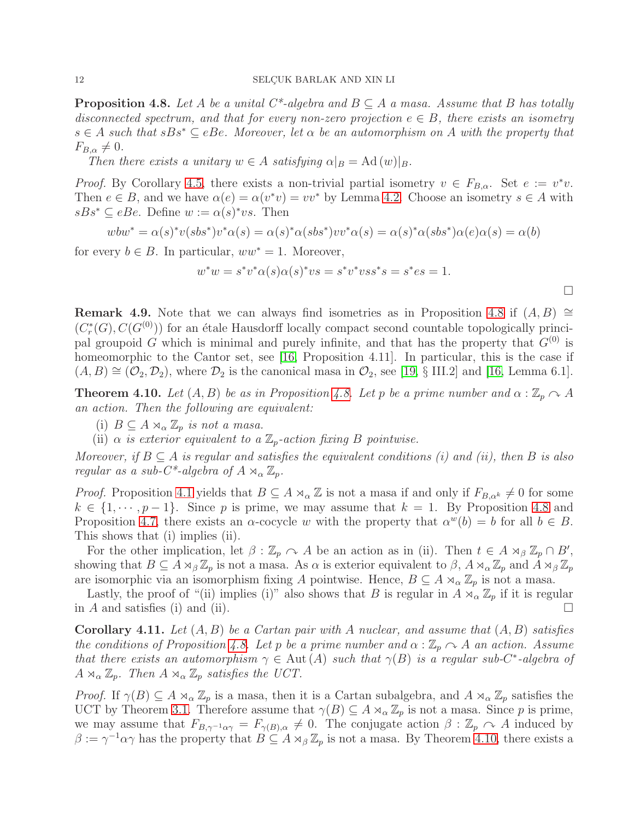<span id="page-12-0"></span>**Proposition 4.8.** Let A be a unital  $C^*$ -algebra and  $B \subseteq A$  a masa. Assume that B has totally disconnected spectrum, and that for every non-zero projection  $e \in B$ , there exists an isometry  $s \in A$  such that  $sBs^* \subseteq eBe$ . Moreover, let  $\alpha$  be an automorphism on A with the property that  $F_{B,\alpha}\neq 0.$ 

Then there exists a unitary  $w \in A$  satisfying  $\alpha|_B = \text{Ad}(w)|_B$ .

*Proof.* By Corollary [4.5,](#page-10-1) there exists a non-trivial partial isometry  $v \in F_{B,\alpha}$ . Set  $e := v^*v$ . Then  $e \in B$ , and we have  $\alpha(e) = \alpha(v^*v) = vv^*$  by Lemma [4.2.](#page-9-1) Choose an isometry  $s \in A$  with  $sBs^* \subseteq eBe$ . Define  $w := \alpha(s)^* vs$ . Then

$$
wbw^* = \alpha(s)^*v(sbs^*)v^*\alpha(s) = \alpha(s)^*\alpha(sbs^*)vv^*\alpha(s) = \alpha(s)^*\alpha(sbs^*)\alpha(e)\alpha(s) = \alpha(b)
$$

for every  $b \in B$ . In particular,  $ww^* = 1$ . Moreover,

$$
w^*w = s^*v^*\alpha(s)\alpha(s)^*vs = s^*v^*vss^*s = s^*es = 1.
$$

 $\Box$ 

**Remark 4.9.** Note that we can always find isometries as in Proposition [4.8](#page-12-0) if  $(A, B) \cong$  $(C_r^*$  $r_r^*(G), C(G^{(0)}))$  for an étale Hausdorff locally compact second countable topologically principal groupoid G which is minimal and purely infinite, and that has the property that  $G^{(0)}$  is homeomorphic to the Cantor set, see [\[16,](#page-17-14) Proposition 4.11]. In particular, this is the case if  $(A, B) \cong (O_2, D_2)$ , where  $D_2$  is the canonical masa in  $O_2$ , see [\[19,](#page-17-22) § III.2] and [\[16,](#page-17-14) Lemma 6.1].

<span id="page-12-1"></span>**Theorem 4.10.** Let  $(A, B)$  be as in Proposition [4.8.](#page-12-0) Let p be a prime number and  $\alpha : \mathbb{Z}_p \cap A$ an action. Then the following are equivalent:

- (i)  $B \subseteq A \rtimes_{\alpha} \mathbb{Z}_p$  is not a masa.
- (ii)  $\alpha$  is exterior equivalent to a  $\mathbb{Z}_p$ -action fixing B pointwise.

Moreover, if  $B \subseteq A$  is regular and satisfies the equivalent conditions (i) and (ii), then B is also regular as a sub- $C^*$ -algebra of  $A \rtimes_{\alpha} \mathbb{Z}_p$ .

*Proof.* Proposition [4.1](#page-9-2) yields that  $B \subseteq A \rtimes_{\alpha} \mathbb{Z}$  is not a masa if and only if  $F_{B,\alpha^k} \neq 0$  for some  $k \in \{1, \dots, p-1\}$ . Since p is prime, we may assume that  $k = 1$ . By Proposition [4.8](#page-12-0) and Proposition [4.7,](#page-11-0) there exists an  $\alpha$ -cocycle w with the property that  $\alpha^w(b) = b$  for all  $b \in B$ . This shows that (i) implies (ii).

For the other implication, let  $\beta : \mathbb{Z}_p \cap A$  be an action as in (ii). Then  $t \in A \rtimes_{\beta} \mathbb{Z}_p \cap B'$ , showing that  $B \subseteq A \rtimes_{\beta} \mathbb{Z}_p$  is not a masa. As  $\alpha$  is exterior equivalent to  $\beta$ ,  $A \rtimes_{\alpha} \mathbb{Z}_p$  and  $A \rtimes_{\beta} \mathbb{Z}_p$ are isomorphic via an isomorphism fixing A pointwise. Hence,  $B \subseteq A \rtimes_{\alpha} \mathbb{Z}_p$  is not a masa.

Lastly, the proof of "(ii) implies (i)" also shows that B is regular in  $A \rtimes_{\alpha} \mathbb{Z}_p$  if it is regular in A and satisfies (i) and (ii).

<span id="page-12-2"></span>**Corollary 4.11.** Let  $(A, B)$  be a Cartan pair with A nuclear, and assume that  $(A, B)$  satisfies the conditions of Proposition [4.8.](#page-12-0) Let p be a prime number and  $\alpha : \mathbb{Z}_p \cap A$  an action. Assume that there exists an automorphism  $\gamma \in$  Aut (A) such that  $\gamma(B)$  is a regular sub-C<sup>\*</sup>-algebra of  $A \rtimes_{\alpha} \mathbb{Z}_p$ . Then  $A \rtimes_{\alpha} \mathbb{Z}_p$  satisfies the UCT.

Proof. If  $\gamma(B) \subseteq A \rtimes_{\alpha} \mathbb{Z}_p$  is a masa, then it is a Cartan subalgebra, and  $A \rtimes_{\alpha} \mathbb{Z}_p$  satisfies the UCT by Theorem [3.1.](#page-6-1) Therefore assume that  $\gamma(B) \subseteq A \rtimes_{\alpha} \mathbb{Z}_p$  is not a masa. Since p is prime, we may assume that  $F_{B,\gamma^{-1}\alpha\gamma} = F_{\gamma(B),\alpha} \neq 0$ . The conjugate action  $\beta : \mathbb{Z}_p \cap A$  induced by  $\beta := \gamma^{-1} \alpha \gamma$  has the property that  $B \subseteq A \rtimes_{\beta} \mathbb{Z}_p$  is not a masa. By Theorem [4.10,](#page-12-1) there exists a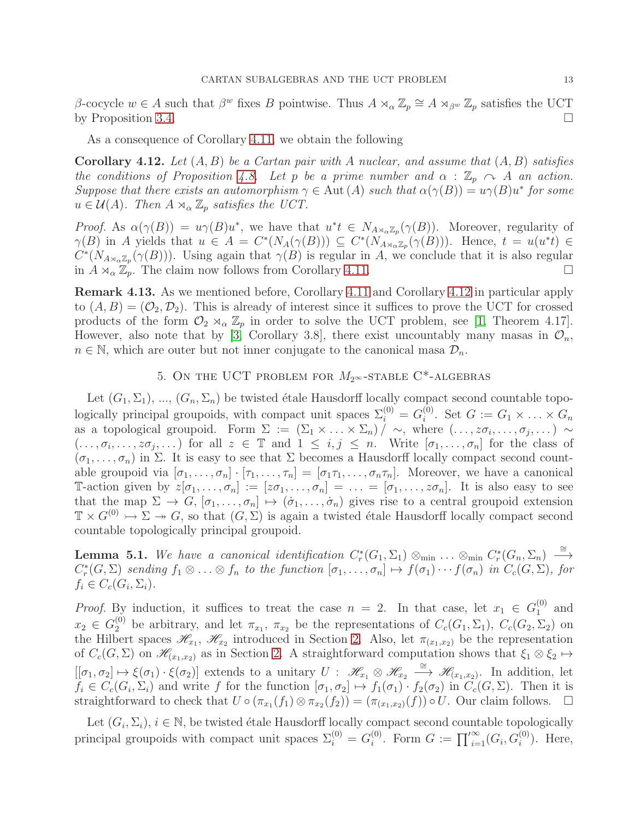β-cocycle  $w \in A$  such that  $\beta^w$  fixes B pointwise. Thus  $A \rtimes_\alpha \mathbb{Z}_p \cong A \rtimes_{\beta^w} \mathbb{Z}_p$  satisfies the UCT by Proposition [3.4.](#page-7-1)  $\Box$ 

As a consequence of Corollary [4.11,](#page-12-2) we obtain the following

<span id="page-13-1"></span>**Corollary 4.12.** Let  $(A, B)$  be a Cartan pair with A nuclear, and assume that  $(A, B)$  satisfies the conditions of Proposition [4.8.](#page-12-0) Let p be a prime number and  $\alpha : \mathbb{Z}_p \curvearrowright A$  an action. Suppose that there exists an automorphism  $\gamma \in$  Aut  $(A)$  such that  $\alpha(\gamma(B)) = u\gamma(B)u^*$  for some  $u \in \mathcal{U}(A)$ . Then  $A \rtimes_{\alpha} \mathbb{Z}_p$  satisfies the UCT.

Proof. As  $\alpha(\gamma(B)) = u\gamma(B)u^*$ , we have that  $u^*t \in N_{A\rtimes_{\alpha}\mathbb{Z}_p}(\gamma(B))$ . Moreover, regularity of  $\gamma(B)$  in A yields that  $u \in A = C^*(N_A(\gamma(B))) \subseteq C^*(N_{A \rtimes_{\alpha} \mathbb{Z}_p}(\gamma(B)))$ . Hence,  $t = u(u^*t) \in$  $C^*(N_{A\rtimes_{\alpha}Z_p}(\gamma(B)))$ . Using again that  $\gamma(B)$  is regular in A, we conclude that it is also regular in  $A \rtimes_{\alpha} \mathbb{Z}_p$ . The claim now follows from Corollary [4.11.](#page-12-2)

Remark 4.13. As we mentioned before, Corollary [4.11](#page-12-2) and Corollary [4.12](#page-13-1) in particular apply to  $(A, B) = (O_2, D_2)$ . This is already of interest since it suffices to prove the UCT for crossed products of the form  $\mathcal{O}_2 \rtimes_{\alpha} \mathbb{Z}_p$  in order to solve the UCT problem, see [\[1,](#page-17-13) Theorem 4.17]. However, also note that by [\[3,](#page-17-23) Corollary 3.8], there exist uncountably many mass in  $\mathcal{O}_n$ ,  $n \in \mathbb{N}$ , which are outer but not inner conjugate to the canonical masa  $\mathcal{D}_n$ .

## 5. ON THE UCT PROBLEM FOR  $M_{2^{\infty}}$ -STABLE C<sup>\*</sup>-ALGEBRAS

<span id="page-13-0"></span>Let  $(G_1, \Sigma_1), ..., (G_n, \Sigma_n)$  be twisted étale Hausdorff locally compact second countable topologically principal groupoids, with compact unit spaces  $\Sigma_i^{(0)} = G_i^{(0)}$  $i^{(0)}$ . Set  $G := G_1 \times \ldots \times G_n$ as a topological groupoid. Form  $\Sigma := (\Sigma_1 \times ... \times \Sigma_n) / \sim$ , where  $(..., z\sigma_i, ..., \sigma_j, ...) \sim$  $(\ldots,\sigma_i,\ldots,z\sigma_j,\ldots)$  for all  $z \in \mathbb{T}$  and  $1 \leq i,j \leq n$ . Write  $[\sigma_1,\ldots,\sigma_n]$  for the class of  $(\sigma_1, \ldots, \sigma_n)$  in  $\Sigma$ . It is easy to see that  $\Sigma$  becomes a Hausdorff locally compact second countable groupoid via  $[\sigma_1, \ldots, \sigma_n] \cdot [\tau_1, \ldots, \tau_n] = [\sigma_1 \tau_1, \ldots, \sigma_n \tau_n]$ . Moreover, we have a canonical T-action given by  $z[\sigma_1, \ldots, \sigma_n] := [z\sigma_1, \ldots, \sigma_n] = \ldots = [\sigma_1, \ldots, z\sigma_n]$ . It is also easy to see that the map  $\Sigma \to G$ ,  $[\sigma_1, \ldots, \sigma_n] \mapsto (\dot{\sigma}_1, \ldots, \dot{\sigma}_n)$  gives rise to a central groupoid extension  $\mathbb{T} \times G^{(0)} \rightarrow \Sigma \rightarrow G$ , so that  $(G, \Sigma)$  is again a twisted étale Hausdorff locally compact second countable topologically principal groupoid.

<span id="page-13-2"></span>**Lemma 5.1.** We have a canonical identification  $C_r^*$  $\mathcal{C}_r^*(G_1, \Sigma_1) \otimes_{\min} \ldots \otimes_{\min} C_r^*$  $r^*(G_n, \Sigma_n) \stackrel{\cong}{\longrightarrow}$  $C_r^*$  $f_r^*(G,\Sigma)$  sending  $f_1\otimes\ldots\otimes f_n$  to the function  $[\sigma_1,\ldots,\sigma_n]\mapsto f(\sigma_1)\cdots f(\sigma_n)$  in  $C_c(G,\Sigma)$ , for  $f_i \in C_c(G_i, \Sigma_i).$ 

*Proof.* By induction, it suffices to treat the case  $n = 2$ . In that case, let  $x_1 \in G_1^{(0)}$  $_1^{\left(\nu\right)}$  and  $x_2 \in G_2^{(0)}$  be arbitrary, and let  $\pi_{x_1}$ ,  $\pi_{x_2}$  be the representations of  $C_c(G_1, \Sigma_1)$ ,  $C_c(G_2, \Sigma_2)$  on the Hilbert spaces  $\mathscr{H}_{x_1}, \mathscr{H}_{x_2}$  introduced in Section [2.](#page-4-0) Also, let  $\pi_{(x_1,x_2)}$  be the representation of  $C_c(G, \Sigma)$  on  $\mathscr{H}_{(x_1,x_2)}$  as in Section [2.](#page-4-0) A straightforward computation shows that  $\xi_1 \otimes \xi_2 \mapsto$  $[[\sigma_1, \sigma_2] \mapsto \xi(\sigma_1) \cdot \xi(\sigma_2)]$  extends to a unitary  $U : \mathscr{H}_{x_1} \otimes \mathscr{H}_{x_2} \stackrel{\cong}{\longrightarrow} \mathscr{H}_{(x_1, x_2)}$ . In addition, let  $f_i \in C_c(G_i, \Sigma_i)$  and write f for the function  $[\sigma_1, \sigma_2] \mapsto f_1(\sigma_1) \cdot f_2(\sigma_2)$  in  $C_c(G, \Sigma)$ . Then it is straightforward to check that  $U \circ (\pi_{x_1}(f_1) \otimes \pi_{x_2}(f_2)) = (\pi_{(x_1,x_2)}(f)) \circ U$ . Our claim follows.  $\Box$ 

Let  $(G_i, \Sigma_i)$ ,  $i \in \mathbb{N}$ , be twisted étale Hausdorff locally compact second countable topologically principal groupoids with compact unit spaces  $\Sigma_i^{(0)} = G_i^{(0)}$  $i^{(0)}$ . Form  $G := \prod_{i=1}^{\infty} (G_i, G_i^{(0)})$ . Here,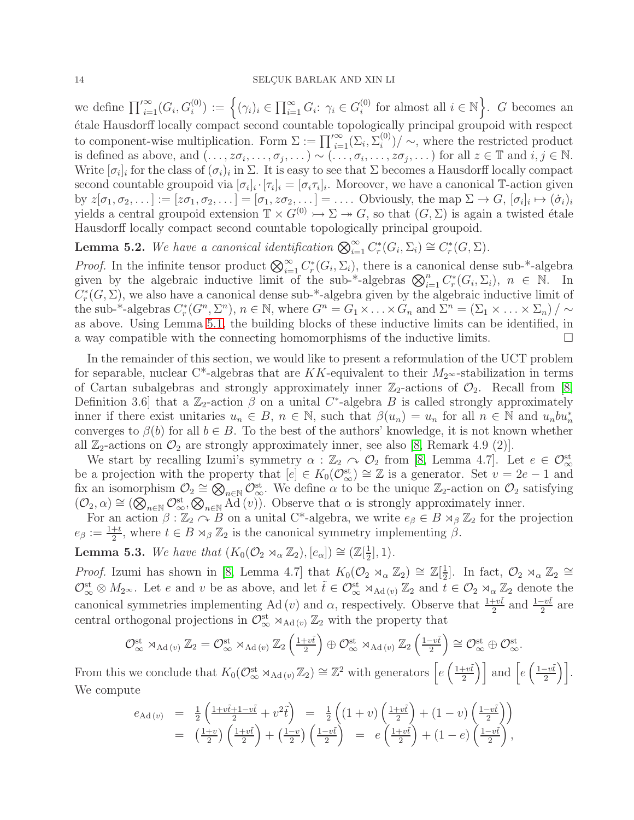we define  $\prod_{i=1}^{\infty} (G_i, G_i^{(0)}) := \left\{ (\gamma_i)_i \in \prod_{i=1}^{\infty} G_i : \gamma_i \in G_i^{(0)} \right\}$  $i^{(0)}$  for almost all  $i \in \mathbb{N}$ . G becomes an ´etale Hausdorff locally compact second countable topologically principal groupoid with respect to component-wise multiplication. Form  $\Sigma := \prod_{i=1}^{\infty} (\Sigma_i, \Sigma_i^{(0)})$  $\binom{[0]}{i}$   $\sim$ , where the restricted product is defined as above, and  $(\ldots, z\sigma_i, \ldots, \sigma_j, \ldots) \sim (\ldots, \sigma_i, \ldots, z\sigma_j, \ldots)$  for all  $z \in \mathbb{T}$  and  $i, j \in \mathbb{N}$ . Write  $[\sigma_i]_i$  for the class of  $(\sigma_i)_i$  in  $\Sigma$ . It is easy to see that  $\Sigma$  becomes a Hausdorff locally compact second countable groupoid via  $[\sigma_i]_i \cdot [\tau_i]_i = [\sigma_i \tau_i]_i$ . Moreover, we have a canonical T-action given by  $z[\sigma_1, \sigma_2, \dots] := [z\sigma_1, \sigma_2, \dots] = [\sigma_1, z\sigma_2, \dots] = \dots$  Obviously, the map  $\Sigma \to G$ ,  $[\sigma_i]_i \mapsto (\dot{\sigma}_i)_i$ yields a central groupoid extension  $\mathbb{T} \times G^{(0)} \to \Sigma \to G$ , so that  $(G, \Sigma)$  is again a twisted étale Hausdorff locally compact second countable topologically principal groupoid.

<span id="page-14-1"></span>**Lemma 5.2.** We have a canonical identification  $\bigotimes_{i=1}^{\infty} C_r^*$  $C^*_r(G_i, \Sigma_i) \cong C^*_r$  $_{r}^{\prime \ast}(G,\Sigma).$ 

*Proof.* In the infinite tensor product  $\bigotimes_{i=1}^{\infty} C_r^*$  $r_r^*(G_i, \Sigma_i)$ , there is a canonical dense sub-\*-algebra given by the algebraic inductive limit of the sub-\*-algebras  $\bigotimes_{i=1}^n C_r^*$  $r^*(G_i, \Sigma_i), n \in \mathbb{N}$ . In  $\overline{C_r^*}$  $r^*(G, \Sigma)$ , we also have a canonical dense sub-\*-algebra given by the algebraic inductive limit of the sub-<sup>\*</sup>-algebras  $C_r^*$ <sup>\*</sup><sub>r</sub>( $G^n, \Sigma^n$ ),  $n \in \mathbb{N}$ , where  $G^n = G_1 \times \ldots \times G_n$  and  $\Sigma^n = (\Sigma_1 \times \ldots \times \Sigma_n) / \sim$ as above. Using Lemma [5.1,](#page-13-2) the building blocks of these inductive limits can be identified, in a way compatible with the connecting homomorphisms of the inductive limits.  $\Box$ 

In the remainder of this section, we would like to present a reformulation of the UCT problem for separable, nuclear C<sup>\*</sup>-algebras that are KK-equivalent to their  $M_{2^{\infty}}$ -stabilization in terms of Cartan subalgebras and strongly approximately inner  $\mathbb{Z}_2$ -actions of  $\mathcal{O}_2$ . Recall from [\[8,](#page-17-15) Definition 3.6 that a  $\mathbb{Z}_2$ -action  $\beta$  on a unital C<sup>\*</sup>-algebra B is called strongly approximately inner if there exist unitaries  $u_n \in B$ ,  $n \in \mathbb{N}$ , such that  $\beta(u_n) = u_n$  for all  $n \in \mathbb{N}$  and  $u_n b u_n^*$ converges to  $\beta(b)$  for all  $b \in B$ . To the best of the authors' knowledge, it is not known whether all  $\mathbb{Z}_2$ -actions on  $\mathcal{O}_2$  are strongly approximately inner, see also [\[8,](#page-17-15) Remark 4.9 (2)].

We start by recalling Izumi's symmetry  $\alpha : \mathbb{Z}_2 \cap \mathcal{O}_2$  from [\[8,](#page-17-15) Lemma 4.7]. Let  $e \in \mathcal{O}_{\infty}^{\text{st}}$ be a projection with the property that  $[e] \in K_0(\mathcal{O}_{\infty}^{st}) \cong \mathbb{Z}$  is a generator. Set  $v = 2e - 1$  and fix an isomorphism  $\mathcal{O}_2 \cong \bigotimes_{n \in \mathbb{N}} \mathcal{O}_{\infty}^{st}$ . We define  $\alpha$  to be the unique  $\mathbb{Z}_2$ -action on  $\mathcal{O}_2$  satisfying  $(\mathcal{O}_2,\alpha) \cong (\mathbb{Q}_{n\in\mathbb{N}}\mathcal{O}_{\infty}^{st},\mathbb{Q}_{n\in\mathbb{N}}\widetilde{\mathrm{Ad}}(v)).$  Observe that  $\alpha$  is strongly approximately inner.

For an action  $\beta : \mathbb{Z}_2 \cap B$  on a unital C<sup>\*</sup>-algebra, we write  $e_{\beta} \in B \rtimes_{\beta} \mathbb{Z}_2$  for the projection  $e_{\beta} := \frac{1+t}{2}$ , where  $t \in B \rtimes_{\beta} \mathbb{Z}_2$  is the canonical symmetry implementing  $\beta$ .

<span id="page-14-0"></span>**Lemma 5.3.** We have that  $(K_0(\mathcal{O}_2 \rtimes_\alpha \mathbb{Z}_2), [e_\alpha]) \cong (\mathbb{Z}[\frac{1}{2})]$  $\frac{1}{2}$ , 1).

*Proof.* Izumi has shown in [\[8,](#page-17-15) Lemma 4.7] that  $K_0(\mathcal{O}_2 \rtimes_\alpha \mathbb{Z}_2) \cong \mathbb{Z}[\frac{1}{2}]$  $\frac{1}{2}$ . In fact,  $\mathcal{O}_2 \rtimes_{\alpha} \mathbb{Z}_2 \cong$  $\mathcal{O}_\infty^{\text{st}} \otimes M_{2^\infty}$ . Let e and v be as above, and let  $\tilde{t} \in \mathcal{O}_\infty^{\text{st}} \rtimes_{\text{Ad}(v)} \mathbb{Z}_2$  and  $\tilde{t} \in \mathcal{O}_2 \rtimes_\alpha \mathbb{Z}_2$  denote the canonical symmetries implementing Ad (*v*) and  $\alpha$ , respectively. Observe that  $\frac{1+v\tilde{t}}{2}$  and  $\frac{1-v\tilde{t}}{2}$  are central orthogonal projections in  $\mathcal{O}_\infty^{\text{st}} \rtimes_{\text{Ad}(v)} \mathbb{Z}_2$  with the property that

$$
\mathcal{O}_\infty^{\mathrm{st}}\rtimes_{\mathrm{Ad}\,(v)}\mathbb{Z}_2=\mathcal{O}_\infty^{\mathrm{st}}\rtimes_{\mathrm{Ad}\,(v)}\mathbb{Z}_2\left(\tfrac{1+v\tilde t}{2}\right)\oplus\mathcal{O}_\infty^{\mathrm{st}}\rtimes_{\mathrm{Ad}\,(v)}\mathbb{Z}_2\left(\tfrac{1-v\tilde t}{2}\right)\cong\mathcal{O}_\infty^{\mathrm{st}}\oplus\mathcal{O}_\infty^{\mathrm{st}}.
$$

From this we conclude that  $K_0(\mathcal{O}_\infty^{\text{st}} \rtimes_{\text{Ad}(v)} \mathbb{Z}_2) \cong \mathbb{Z}^2$  with generators  $\left[ e \left( \frac{1+v\tilde{v}}{2} \right) \right]$  $\left[\frac{1-v\tilde{t}}{2}\right]$  and  $\left[e\left(\frac{1-v\tilde{t}}{2}\right)\right]$  $\left[\frac{-v\tilde{t}}{2}\right].$ We compute

$$
e_{\text{Ad}(v)} = \frac{1}{2} \left( \frac{1+v\tilde{t}+1-v\tilde{t}}{2} + v^2 \tilde{t} \right) = \frac{1}{2} \left( (1+v) \left( \frac{1+v\tilde{t}}{2} \right) + (1-v) \left( \frac{1-v\tilde{t}}{2} \right) \right)
$$
  
=  $\left( \frac{1+v}{2} \right) \left( \frac{1+v\tilde{t}}{2} \right) + \left( \frac{1-v}{2} \right) \left( \frac{1-v\tilde{t}}{2} \right) = e \left( \frac{1+vt}{2} \right) + (1-e) \left( \frac{1-v\tilde{t}}{2} \right),$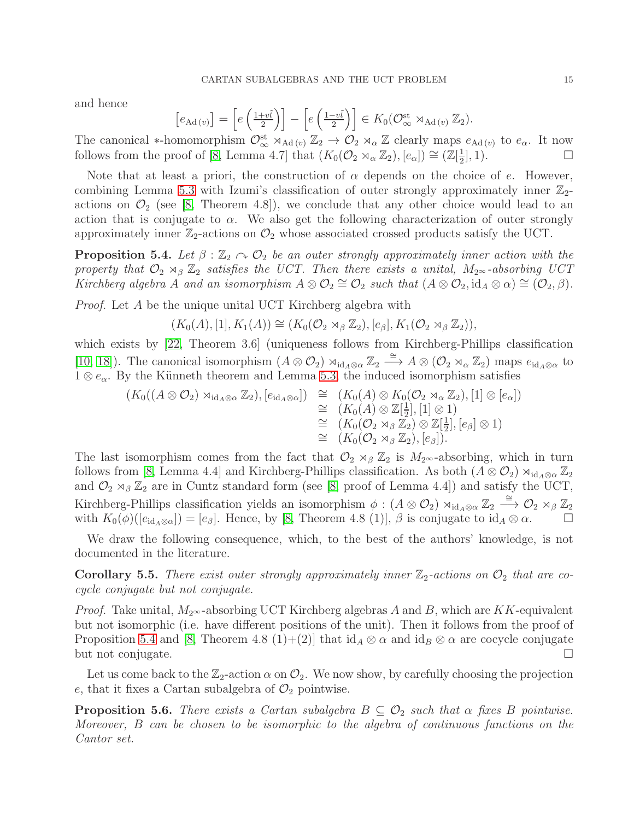and hence

$$
[e_{\mathrm{Ad}(v)}] = \left[e\left(\frac{1+v\tilde{t}}{2}\right)\right] - \left[e\left(\frac{1-v\tilde{t}}{2}\right)\right] \in K_0(\mathcal{O}_\infty^{\mathrm{st}} \rtimes_{\mathrm{Ad}(v)} \mathbb{Z}_2).
$$

The canonical \*-homomorphism  $\mathcal{O}_\infty^{\text{st}} \rtimes_{\text{Ad}(v)} \mathbb{Z}_2 \to \mathcal{O}_2 \rtimes_\alpha \mathbb{Z}$  clearly maps  $e_{\text{Ad}(v)}$  to  $e_\alpha$ . It now follows from the proof of [\[8,](#page-17-15) Lemma 4.7] that  $(K_0(\mathcal{O}_2 \rtimes_\alpha \mathbb{Z}_2), [e_\alpha]) \cong (\mathbb{Z}[\frac{1}{2})]$ 2  $\left[1,1\right)$ .

Note that at least a priori, the construction of  $\alpha$  depends on the choice of e. However, combining Lemma [5.3](#page-14-0) with Izumi's classification of outer strongly approximately inner  $\mathbb{Z}_2$ actions on  $\mathcal{O}_2$  (see [\[8,](#page-17-15) Theorem 4.8]), we conclude that any other choice would lead to an action that is conjugate to  $\alpha$ . We also get the following characterization of outer strongly approximately inner  $\mathbb{Z}_2$ -actions on  $\mathcal{O}_2$  whose associated crossed products satisfy the UCT.

<span id="page-15-0"></span>**Proposition 5.4.** Let  $\beta : \mathbb{Z}_2 \cap \mathcal{O}_2$  be an outer strongly approximately inner action with the property that  $\mathcal{O}_2 \rtimes_{\beta} \mathbb{Z}_2$  satisfies the UCT. Then there exists a unital,  $M_{2^{\infty}}$ -absorbing UCT Kirchberg algebra A and an isomorphism  $A \otimes \mathcal{O}_2 \cong \mathcal{O}_2$  such that  $(A \otimes \mathcal{O}_2, \mathrm{id}_A \otimes \alpha) \cong (\mathcal{O}_2, \beta)$ .

Proof. Let A be the unique unital UCT Kirchberg algebra with

$$
(K_0(A), [1], K_1(A)) \cong (K_0(\mathcal{O}_2 \rtimes_{\beta} \mathbb{Z}_2), [e_{\beta}], K_1(\mathcal{O}_2 \rtimes_{\beta} \mathbb{Z}_2)),
$$

which exists by [\[22,](#page-17-24) Theorem 3.6] (uniqueness follows from Kirchberg-Phillips classification [\[10,](#page-17-12) [18\]](#page-17-25)). The canonical isomorphism  $(A \otimes \mathcal{O}_2) \rtimes_{\mathrm{id}_A \otimes \alpha} \mathbb{Z}_2 \stackrel{\cong}{\longrightarrow} A \otimes (\mathcal{O}_2 \rtimes_{\alpha} \mathbb{Z}_2)$  maps  $e_{\mathrm{id}_A \otimes \alpha}$  to  $1 \otimes e_{\alpha}$ . By the Künneth theorem and Lemma [5.3,](#page-14-0) the induced isomorphism satisfies

$$
(K_0((A \otimes O_2) \rtimes_{\mathrm{id}_A \otimes \alpha} \mathbb{Z}_2), [e_{\mathrm{id}_A \otimes \alpha}]) \cong (K_0(A) \otimes K_0(O_2 \rtimes_{\alpha} \mathbb{Z}_2), [1] \otimes [e_{\alpha}])
$$
  
\n
$$
\cong (K_0(A) \otimes \mathbb{Z}[\frac{1}{2}], [1] \otimes 1)
$$
  
\n
$$
\cong (K_0(O_2 \rtimes_{\beta} \mathbb{Z}_2) \otimes \mathbb{Z}[\frac{1}{2}], [e_{\beta}] \otimes 1)
$$
  
\n
$$
\cong (K_0(O_2 \rtimes_{\beta} \mathbb{Z}_2), [e_{\beta}]).
$$

The last isomorphism comes from the fact that  $\mathcal{O}_2 \rtimes_{\beta} \mathbb{Z}_2$  is  $M_{2^{\infty}}$ -absorbing, which in turn follows from [\[8,](#page-17-15) Lemma 4.4] and Kirchberg-Phillips classification. As both  $(A \otimes \mathcal{O}_2) \rtimes_{\mathrm{id}_A \otimes \alpha} \mathbb{Z}_2$ and  $\mathcal{O}_2 \rtimes_{\beta} \mathbb{Z}_2$  are in Cuntz standard form (see [\[8,](#page-17-15) proof of Lemma 4.4]) and satisfy the UCT, Kirchberg-Phillips classification yields an isomorphism  $\phi : (A \otimes \mathcal{O}_2) \rtimes_{\text{id}_A \otimes \alpha} \mathbb{Z}_2 \stackrel{\cong}{\longrightarrow} \mathcal{O}_2 \rtimes_{\beta} \mathbb{Z}_2$ with  $K_0(\phi)([e_{id_A\otimes \alpha}]) = [e_{\beta}]$ . Hence, by [\[8,](#page-17-15) Theorem 4.8 (1)],  $\beta$  is conjugate to  $id_A \otimes \alpha$ .

We draw the following consequence, which, to the best of the authors' knowledge, is not documented in the literature.

**Corollary 5.5.** There exist outer strongly approximately inner  $\mathbb{Z}_2$ -actions on  $\mathcal{O}_2$  that are cocycle conjugate but not conjugate.

*Proof.* Take unital,  $M_{2^{\infty}}$ -absorbing UCT Kirchberg algebras A and B, which are KK-equivalent but not isomorphic (i.e. have different positions of the unit). Then it follows from the proof of Proposition [5.4](#page-15-0) and [\[8,](#page-17-15) Theorem 4.8 (1)+(2)] that  $\mathrm{id}_A \otimes \alpha$  and  $\mathrm{id}_B \otimes \alpha$  are cocycle conjugate but not conjugate.

Let us come back to the  $\mathbb{Z}_2$ -action  $\alpha$  on  $\mathcal{O}_2$ . We now show, by carefully choosing the projection e, that it fixes a Cartan subalgebra of  $\mathcal{O}_2$  pointwise.

<span id="page-15-1"></span>**Proposition 5.6.** There exists a Cartan subalgebra  $B \subseteq \mathcal{O}_2$  such that  $\alpha$  fixes B pointwise. Moreover, B can be chosen to be isomorphic to the algebra of continuous functions on the Cantor set.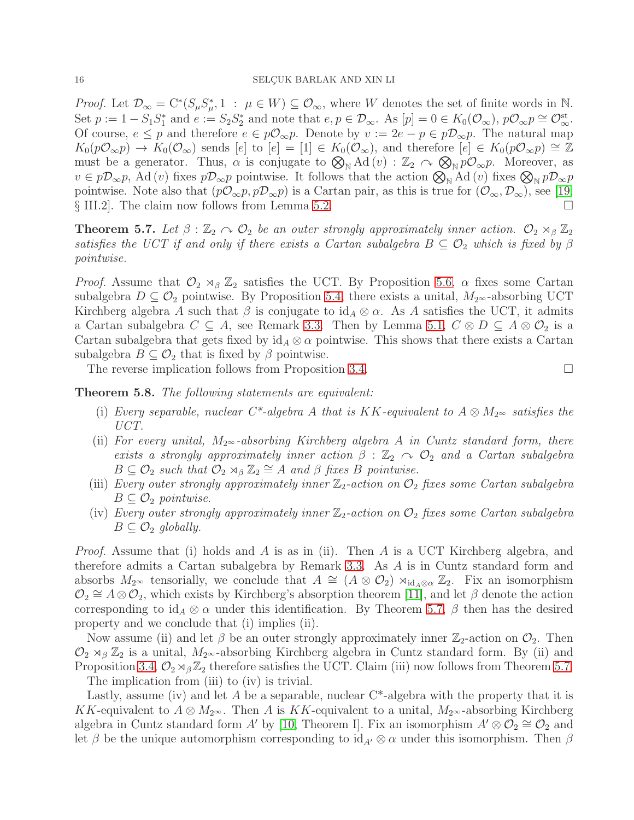*Proof.* Let  $\mathcal{D}_{\infty} = C^*(S_{\mu}S_{\mu}^*)$  $\mu^*$ , 1 :  $\mu \in W$ ) ⊆  $\mathcal{O}_{\infty}$ , where W denotes the set of finite words in N. Set  $p := 1 - S_1 S_1^*$  and  $e := S_2 S_2^*$  and note that  $e, p \in \mathcal{D}_{\infty}$ . As  $[p] = 0 \in K_0(\mathcal{O}_{\infty}), p\mathcal{O}_{\infty}p \cong \mathcal{O}_{\infty}^{st}$ . Of course,  $e \leq p$  and therefore  $e \in p\mathcal{O}_{\infty}p$ . Denote by  $v := 2e - p \in p\mathcal{D}_{\infty}p$ . The natural map  $K_0(p\mathcal{O}_{\infty}p) \to K_0(\mathcal{O}_{\infty})$  sends  $[e]$  to  $[e] = [1] \in K_0(\mathcal{O}_{\infty})$ , and therefore  $[e] \in K_0(p\mathcal{O}_{\infty}p) \cong \mathbb{Z}$ must be a generator. Thus,  $\alpha$  is conjugate to  $\mathcal{D}_N$  Ad  $(v)$ :  $\mathbb{Z}_2 \curvearrowright \mathcal{D}_N p\mathcal{D}_{\infty} p$ . Moreover, as  $v \in p\mathcal{D}_{\infty}p$ , Ad  $(v)$  fixes  $p\mathcal{D}_{\infty}p$  pointwise. It follows that the action  $\bigotimes_{\mathbb{N}}\text{Ad}(v)$  fixes  $\bigotimes_{\mathbb{N}}p\mathcal{D}_{\infty}p$ pointwise. Note also that  $(p\mathcal{O}_{\infty}p, p\mathcal{D}_{\infty}p)$  is a Cartan pair, as this is true for  $(\mathcal{O}_{\infty}, \mathcal{D}_{\infty})$ , see [\[19,](#page-17-22) § III.2. The claim now follows from Lemma [5.2.](#page-14-1) □

<span id="page-16-0"></span>**Theorem 5.7.** Let  $\beta : \mathbb{Z}_2 \cap \mathcal{O}_2$  be an outer strongly approximately inner action.  $\mathcal{O}_2 \rtimes_{\beta} \mathbb{Z}_2$ satisfies the UCT if and only if there exists a Cartan subalgebra  $B \subseteq \mathcal{O}_2$  which is fixed by  $\beta$ pointwise.

*Proof.* Assume that  $\mathcal{O}_2 \rtimes_{\beta} \mathbb{Z}_2$  satisfies the UCT. By Proposition [5.6,](#page-15-1)  $\alpha$  fixes some Cartan subalgebra  $D \subseteq \mathcal{O}_2$  pointwise. By Proposition [5.4,](#page-15-0) there exists a unital,  $M_{2\infty}$ -absorbing UCT Kirchberg algebra A such that  $\beta$  is conjugate to id<sub>A</sub>  $\otimes \alpha$ . As A satisfies the UCT, it admits a Cartan subalgebra  $C \subseteq A$ , see Remark [3.3.](#page-7-0) Then by Lemma [5.1,](#page-13-2)  $C \otimes D \subseteq A \otimes \mathcal{O}_2$  is a Cartan subalgebra that gets fixed by  $id_A \otimes \alpha$  pointwise. This shows that there exists a Cartan subalgebra  $B \subseteq \mathcal{O}_2$  that is fixed by  $\beta$  pointwise.

The reverse implication follows from Proposition [3.4.](#page-7-1)

Theorem 5.8. The following statements are equivalent:

- (i) Every separable, nuclear C\*-algebra A that is KK-equivalent to  $A \otimes M_{2^{\infty}}$  satisfies the UCT.
- (ii) For every unital,  $M_{2^{\infty}}$ -absorbing Kirchberg algebra A in Cuntz standard form, there exists a strongly approximately inner action  $\beta : \mathbb{Z}_2 \cap \mathcal{O}_2$  and a Cartan subalgebra  $B \subseteq \mathcal{O}_2$  such that  $\mathcal{O}_2 \rtimes_{\beta} \mathbb{Z}_2 \cong A$  and  $\beta$  fixes  $B$  pointwise.
- (iii) Every outer strongly approximately inner  $\mathbb{Z}_2$ -action on  $\mathcal{O}_2$  fixes some Cartan subalgebra  $B \subseteq \mathcal{O}_2$  pointwise.
- (iv) Every outer strongly approximately inner  $\mathbb{Z}_2$ -action on  $\mathcal{O}_2$  fixes some Cartan subalgebra  $B \subseteq \mathcal{O}_2$  globally.

Proof. Assume that (i) holds and A is as in (ii). Then A is a UCT Kirchberg algebra, and therefore admits a Cartan subalgebra by Remark [3.3.](#page-7-0) As A is in Cuntz standard form and absorbs  $M_{2^{\infty}}$  tensorially, we conclude that  $A \cong (A \otimes \mathcal{O}_2) \rtimes_{\mathrm{id}_A \otimes \alpha} \mathbb{Z}_2$ . Fix an isomorphism  $\mathcal{O}_2 \cong A \otimes \mathcal{O}_2$ , which exists by Kirchberg's absorption theorem [\[11\]](#page-17-26), and let  $\beta$  denote the action corresponding to  $id_A \otimes \alpha$  under this identification. By Theorem [5.7,](#page-16-0)  $\beta$  then has the desired property and we conclude that (i) implies (ii).

Now assume (ii) and let  $\beta$  be an outer strongly approximately inner  $\mathbb{Z}_2$ -action on  $\mathcal{O}_2$ . Then  $\mathcal{O}_2 \rtimes_{\beta} \mathbb{Z}_2$  is a unital,  $M_2 \sim$ -absorbing Kirchberg algebra in Cuntz standard form. By (ii) and Proposition [3.4,](#page-7-1)  $\mathcal{O}_2 \rtimes_{\beta} \mathbb{Z}_2$  therefore satisfies the UCT. Claim (iii) now follows from Theorem [5.7.](#page-16-0)

The implication from (iii) to (iv) is trivial.

Lastly, assume (iv) and let A be a separable, nuclear  $C^*$ -algebra with the property that it is KK-equivalent to  $A \otimes M_{2^{\infty}}$ . Then A is KK-equivalent to a unital,  $M_{2^{\infty}}$ -absorbing Kirchberg algebra in Cuntz standard form A' by [\[10,](#page-17-12) Theorem I]. Fix an isomorphism  $A' \otimes \mathcal{O}_2 \cong \mathcal{O}_2$  and let β be the unique automorphism corresponding to  $\mathrm{id}_{A'} \otimes \alpha$  under this isomorphism. Then β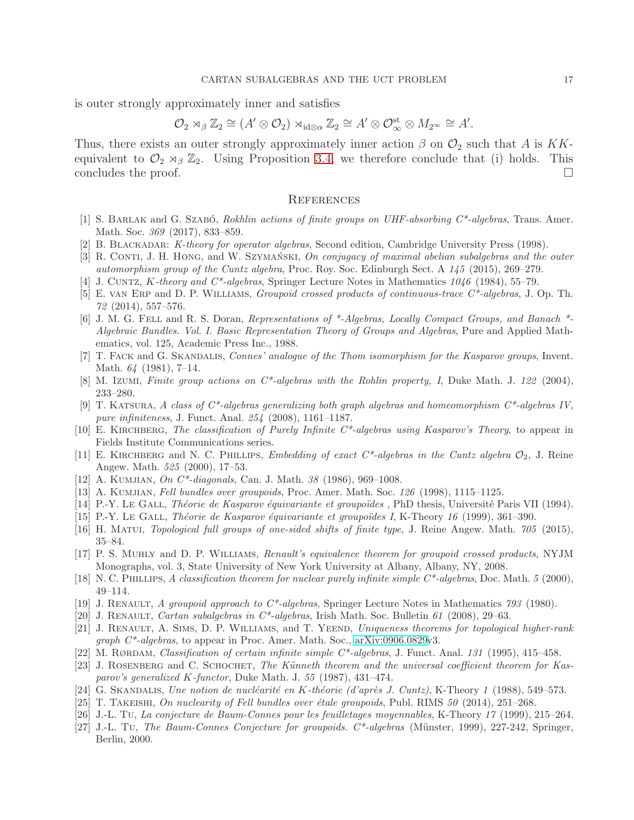is outer strongly approximately inner and satisfies

$$
\mathcal{O}_2 \rtimes_{\beta} \mathbb{Z}_2 \cong (A' \otimes \mathcal{O}_2) \rtimes_{\mathrm{id} \otimes \alpha} \mathbb{Z}_2 \cong A' \otimes \mathcal{O}_\infty^{\mathrm{st}} \otimes M_{2^\infty} \cong A'.
$$

Thus, there exists an outer strongly approximately inner action  $\beta$  on  $\mathcal{O}_2$  such that A is KKequivalent to  $\mathcal{O}_2 \rtimes_{\beta} \mathbb{Z}_2$ . Using Proposition [3.4,](#page-7-1) we therefore conclude that (i) holds. This concludes the proof.  $\Box$ 

### **REFERENCES**

- <span id="page-17-13"></span>[1] S. BARLAK and G. SZABÓ, Rokhlin actions of finite groups on UHF-absorbing  $C^*$ -algebras, Trans. Amer. Math. Soc. 369 (2017), 833–859.
- <span id="page-17-23"></span><span id="page-17-1"></span>[2] B. BLACKADAR: K-theory for operator algebras, Second edition, Cambridge University Press (1998).
- <span id="page-17-2"></span>[3] R. CONTI, J. H. HONG, and W. SZYMAŃSKI, On conjugacy of maximal abelian subalgebras and the outer automorphism group of the Cuntz algebra, Proc. Roy. Soc. Edinburgh Sect. A 145 (2015), 269–279.
- <span id="page-17-10"></span>[4] J. CUNTZ, K-theory and  $C^*$ -algebras, Springer Lecture Notes in Mathematics  $1046$  (1984), 55–79.
- [5] E. van Erp and D. P. Williams, Groupoid crossed products of continuous-trace C\*-algebras, J. Op. Th. 72 (2014), 557–576.
- <span id="page-17-18"></span>[6] J. M. G. Fell and R. S. Doran, Representations of \*-Algebras, Locally Compact Groups, and Banach \*- Algebraic Bundles. Vol. I. Basic Representation Theory of Groups and Algebras, Pure and Applied Mathematics, vol. 125, Academic Press Inc., 1988.
- <span id="page-17-3"></span>[7] T. FACK and G. SKANDALIS, *Connes' analogue of the Thom isomorphism for the Kasparov groups*, Invent. Math. 64 (1981), 7–14.
- <span id="page-17-15"></span><span id="page-17-11"></span>[8] M. Izumi, Finite group actions on  $C^*$ -algebras with the Rohlin property, I, Duke Math. J. 122 (2004), 233–280.
- [9] T. KATSURA, A class of  $C^*$ -algebras generalizing both graph algebras and homeomorphism  $C^*$ -algebras IV, pure infiniteness, J. Funct. Anal. 254 (2008), 1161–1187.
- <span id="page-17-26"></span><span id="page-17-12"></span>[10] E. KIRCHBERG, The classification of Purely Infinite  $C^*$ -algebras using Kasparov's Theory, to appear in Fields Institute Communications series.
- [11] E. KIRCHBERG and N. C. PHILLIPS, Embedding of exact  $C^*$ -algebras in the Cuntz algebra  $\mathcal{O}_2$ , J. Reine Angew. Math. 525 (2000), 17–53.
- <span id="page-17-7"></span><span id="page-17-6"></span>[12] A. KUMJIAN, *On C<sup>\*</sup>-diagonals*, Can. J. Math. 38 (1986), 969–1008.
- <span id="page-17-20"></span>[13] A. Kumjian, Fell bundles over groupoids, Proc. Amer. Math. Soc. 126 (1998), 1115–1125.
- <span id="page-17-19"></span>[14] P.-Y. Le Gall, Théorie de Kasparov équivariante et groupoïdes, PhD thesis, Université Paris VII (1994).
- <span id="page-17-14"></span>[15] P.-Y. Le GALL, Théorie de Kasparov équivariante et groupoïdes I, K-Theory 16 (1999), 361–390.
- <span id="page-17-16"></span>[16] H. Matui, Topological full groups of one-sided shifts of finite type, J. Reine Angew. Math. 705 (2015), 35–84.
- [17] P. S. Muhly and D. P. Williams, Renault's equivalence theorem for groupoid crossed products, NYJM Monographs, vol. 3, State University of New York University at Albany, Albany, NY, 2008.
- <span id="page-17-25"></span><span id="page-17-22"></span>[18] N. C. PHILLIPS, A classification theorem for nuclear purely infinite simple  $C^*$ -algebras, Doc. Math. 5 (2000), 49–114.
- <span id="page-17-8"></span>[19] J. RENAULT, A groupoid approach to  $C^*$ -algebras, Springer Lecture Notes in Mathematics 793 (1980).
- <span id="page-17-21"></span>[20] J. RENAULT, Cartan subalgebras in  $C^*$ -algebras, Irish Math. Soc. Bulletin 61 (2008), 29–63.
- [21] J. RENAULT, A. SIMS, D. P. WILLIAMS, and T. YEEND, Uniqueness theorems for topological higher-rank graph C\*-algebras, to appear in Proc. Amer. Math. Soc., [arXiv:0906.0829v](http://arxiv.org/abs/0906.0829)3.
- <span id="page-17-24"></span><span id="page-17-0"></span>[22] M. RØRDAM, Classification of certain infinite simple  $C^*$ -algebras, J. Funct. Anal. 131 (1995), 415–458.
- [23] J. ROSENBERG and C. SCHOCHET, The Künneth theorem and the universal coefficient theorem for Kasparov's generalized K-functor, Duke Math. J. 55 (1987), 431–474.
- <span id="page-17-9"></span><span id="page-17-5"></span>[24] G. SKANDALIS, Une notion de nucléarité en K-théorie (d'après J. Cuntz), K-Theory 1 (1988), 549–573.
- <span id="page-17-4"></span>[25] T. TAKEISHI, On nuclearity of Fell bundles over étale groupoids, Publ. RIMS  $50$  (2014), 251–268.
- <span id="page-17-17"></span>[26] J.-L. Tu, La conjecture de Baum-Connes pour les feuilletages moyennables, K-Theory 17 (1999), 215–264.
- [27] J.-L. Tu, The Baum-Connes Conjecture for groupoids. C\*-algebras (Münster, 1999), 227-242, Springer, Berlin, 2000.